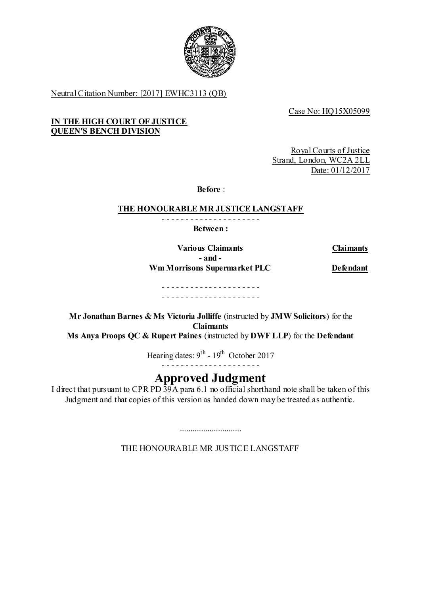

Neutral Citation Number: [2017] EWHC3113 (QB)

Case No: HQ15X05099

# **IN THE HIGH COURT OF JUSTICE QUEEN'S BENCH DIVISION**

Royal Courts of Justice Strand, London, WC2A 2LL Date: 01/12/2017

**Before** :

#### **THE HONOURABLE MR JUSTICE LANGSTAFF** - - - - - - - - - - - - - - - - - - - - -

**Between :** 

**Various Claimants Claimants - and -**

**Wm Morrisons Supermarket PLC Defendant**

- - - - - - - - - - - - - - - - - - - - - - - - - - - - - - - - - - - - - - - - - -

**Mr Jonathan Barnes & Ms Victoria Jolliffe** (instructed by **JMW Solicitors**) for the **Claimants Ms Anya Proops QC & Rupert Paines** (instructed by **DWF LLP**) for the **Defendant**

Hearing dates:  $9^{th}$  -  $19^{th}$  October 2017

- - - - - - - - - - - - - - - - - - - - -

# **Approved Judgment**

I direct that pursuant to CPR PD 39A para 6.1 no official shorthand note shall be taken of this Judgment and that copies of this version as handed down may be treated as authentic.

THE HONOURABLE MR JUSTICE LANGSTAFF

.............................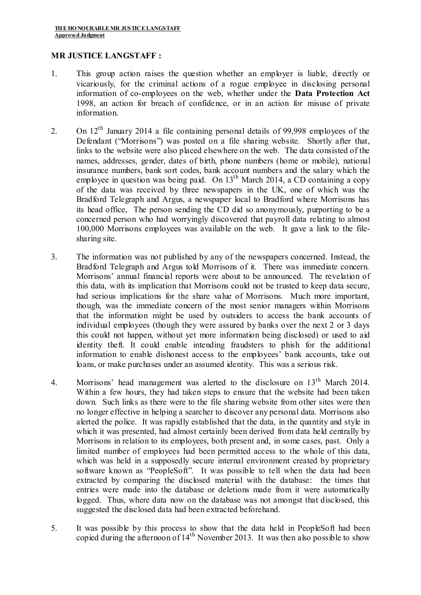#### **MR JUSTICE LANGSTAFF :**

- 1. This group action raises the question whether an employer is liable, directly or vicariously, for the criminal actions of a rogue employee in disclosing personal information of co-employees on the web, whether under the **Data Protection Act** 1998, an action for breach of confidence, or in an action for misuse of private information.
- 2. On  $12<sup>th</sup>$  January 2014 a file containing personal details of 99,998 employees of the Defendant ("Morrisons") was posted on a file sharing website. Shortly after that, links to the website were also placed elsewhere on the web. The data consisted of the names, addresses, gender, dates of birth, phone numbers (home or mobile), national insurance numbers, bank sort codes, bank account numbers and the salary which the employee in question was being paid. On  $13<sup>th</sup>$  March 2014, a CD containing a copy of the data was received by three newspapers in the UK, one of which was the Bradford Telegraph and Argus, a newspaper local to Bradford where Morrisons has its head office, The person sending the CD did so anonymously, purporting to be a concerned person who had worryingly discovered that payroll data relating to almost 100,000 Morrisons employees was available on the web. It gave a link to the filesharing site.
- 3. The information was not published by any of the newspapers concerned. Instead, the Bradford Telegraph and Argus told Morrisons of it. There was immediate concern. Morrisons' annual financial reports were about to be announced. The revelation of this data, with its implication that Morrisons could not be trusted to keep data secure, had serious implications for the share value of Morrisons. Much more important, though, was the immediate concern of the most senior managers within Morrisons that the information might be used by outsiders to access the bank accounts of individual employees (though they were assured by banks over the next 2 or 3 days this could not happen, without yet more information being disclosed) or used to aid identity theft. It could enable intending fraudsters to phish for the additional information to enable dishonest access to the employees' bank accounts, take out loans, or make purchases under an assumed identity. This was a serious risk.
- 4. Morrisons' head management was alerted to the disclosure on 13th March 2014. Within a few hours, they had taken steps to ensure that the website had been taken down. Such links as there were to the file sharing website from other sites were then no longer effective in helping a searcher to discover any personal data. Morrisons also alerted the police. It was rapidly established that the data, in the quantity and style in which it was presented, had almost certainly been derived from data held centrally by Morrisons in relation to its employees, both present and, in some cases, past. Only a limited number of employees had been permitted access to the whole of this data, which was held in a supposedly secure internal environment created by proprietary software known as "PeopleSoft". It was possible to tell when the data had been extracted by comparing the disclosed material with the database: the times that entries were made into the database or deletions made from it were automatically logged. Thus, where data now on the database was not amongst that disclosed, this suggested the disclosed data had been extracted beforehand.
- 5. It was possible by this process to show that the data held in PeopleSoft had been copied during the afternoon of  $14<sup>th</sup>$  November 2013. It was then also possible to show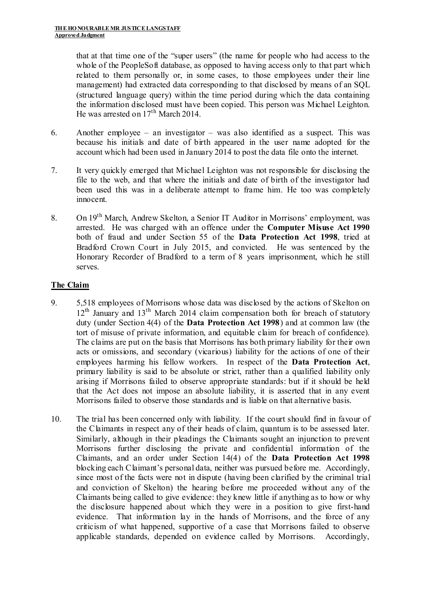that at that time one of the "super users" (the name for people who had access to the whole of the PeopleSoft database, as opposed to having access only to that part which related to them personally or, in some cases, to those employees under their line management) had extracted data corresponding to that disclosed by means of an SQL (structured language query) within the time period during which the data containing the information disclosed must have been copied. This person was Michael Leighton. He was arrested on  $17<sup>th</sup>$  March 2014.

- 6. Another employee an investigator was also identified as a suspect. This was because his initials and date of birth appeared in the user name adopted for the account which had been used in January 2014 to post the data file onto the internet.
- 7. It very quickly emerged that Michael Leighton was not responsible for disclosing the file to the web, and that where the initials and date of birth of the investigator had been used this was in a deliberate attempt to frame him. He too was completely innocent.
- 8. On 19<sup>th</sup> March, Andrew Skelton, a Senior IT Auditor in Morrisons' employment, was arrested. He was charged with an offence under the **Computer Misuse Act 1990** both of fraud and under Section 55 of the **Data Protection Act 1998**, tried at Bradford Crown Court in July 2015, and convicted. He was sentenced by the Honorary Recorder of Bradford to a term of 8 years imprisonment, which he still serves.

# **The Claim**

- 9. 5,518 employees of Morrisons whose data was disclosed by the actions of Skelton on  $12<sup>th</sup>$  January and  $13<sup>th</sup>$  March 2014 claim compensation both for breach of statutory duty (under Section 4(4) of the **Data Protection Act 1998**) and at common law (the tort of misuse of private information, and equitable claim for breach of confidence). The claims are put on the basis that Morrisons has both primary liability for their own acts or omissions, and secondary (vicarious) liability for the actions of one of their employees harming his fellow workers. In respect of the **Data Protection Act**, primary liability is said to be absolute or strict, rather than a qualified liability only arising if Morrisons failed to observe appropriate standards: but if it should be held that the Act does not impose an absolute liability, it is asserted that in any event Morrisons failed to observe those standards and is liable on that alternative basis.
- 10. The trial has been concerned only with liability. If the court should find in favour of the Claimants in respect any of their heads of claim, quantum is to be assessed later. Similarly, although in their pleadings the Claimants sought an injunction to prevent Morrisons further disclosing the private and confidential information of the Claimants, and an order under Section 14(4) of the **Data Protection Act 1998** blocking each Claimant's personal data, neither was pursued before me. Accordingly, since most of the facts were not in dispute (having been clarified by the criminal trial and conviction of Skelton) the hearing before me proceeded without any of the Claimants being called to give evidence: they knew little if anything as to how or why the disclosure happened about which they were in a position to give first-hand evidence. That information lay in the hands of Morrisons, and the force of any criticism of what happened, supportive of a case that Morrisons failed to observe applicable standards, depended on evidence called by Morrisons. Accordingly,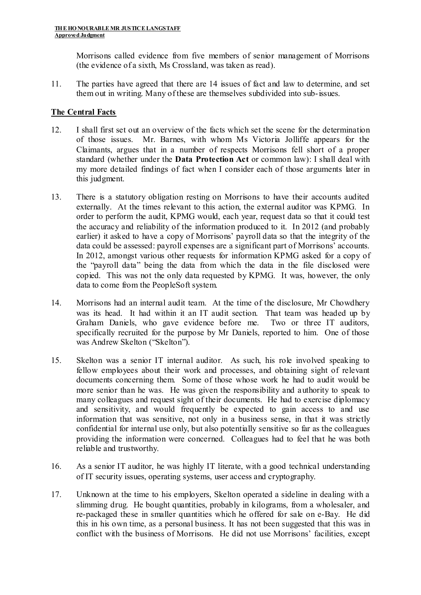Morrisons called evidence from five members of senior management of Morrisons (the evidence of a sixth, Ms Crossland, was taken as read).

11. The parties have agreed that there are 14 issues of fact and law to determine, and set them out in writing. Many of these are themselves subdivided into sub-issues.

# **The Central Facts**

- 12. I shall first set out an overview of the facts which set the scene for the determination of those issues. Mr. Barnes, with whom Ms Victoria Jolliffe appears for the Claimants, argues that in a number of respects Morrisons fell short of a proper standard (whether under the **Data Protection Act** or common law): I shall deal with my more detailed findings of fact when I consider each of those arguments later in this judgment.
- 13. There is a statutory obligation resting on Morrisons to have their accounts audited externally. At the times relevant to this action, the external auditor was KPMG. In order to perform the audit, KPMG would, each year, request data so that it could test the accuracy and reliability of the information produced to it. In 2012 (and probably earlier) it asked to have a copy of Morrisons' payroll data so that the integrity of the data could be assessed: payroll expenses are a significant part of Morrisons' accounts. In 2012, amongst various other requests for information KPMG asked for a copy of the "payroll data" being the data from which the data in the file disclosed were copied. This was not the only data requested by KPMG. It was, however, the only data to come from the PeopleSoft system.
- 14. Morrisons had an internal audit team. At the time of the disclosure, Mr Chowdhery was its head. It had within it an IT audit section. That team was headed up by Graham Daniels, who gave evidence before me. Two or three IT auditors, specifically recruited for the purpose by Mr Daniels, reported to him. One of those was Andrew Skelton ("Skelton").
- 15. Skelton was a senior IT internal auditor. As such, his role involved speaking to fellow employees about their work and processes, and obtaining sight of relevant documents concerning them. Some of those whose work he had to audit would be more senior than he was. He was given the responsibility and authority to speak to many colleagues and request sight of their documents. He had to exercise diplomacy and sensitivity, and would frequently be expected to gain access to and use information that was sensitive, not only in a business sense, in that it was strictly confidential for internal use only, but also potentially sensitive so far as the colleagues providing the information were concerned. Colleagues had to feel that he was both reliable and trustworthy.
- 16. As a senior IT auditor, he was highly IT literate, with a good technical understanding of IT security issues, operating systems, user access and cryptography.
- 17. Unknown at the time to his employers, Skelton operated a sideline in dealing with a slimming drug. He bought quantities, probably in kilograms, from a wholesaler, and re-packaged these in smaller quantities which he offered for sale on e-Bay. He did this in his own time, as a personal business. It has not been suggested that this was in conflict with the business of Morrisons. He did not use Morrisons' facilities, except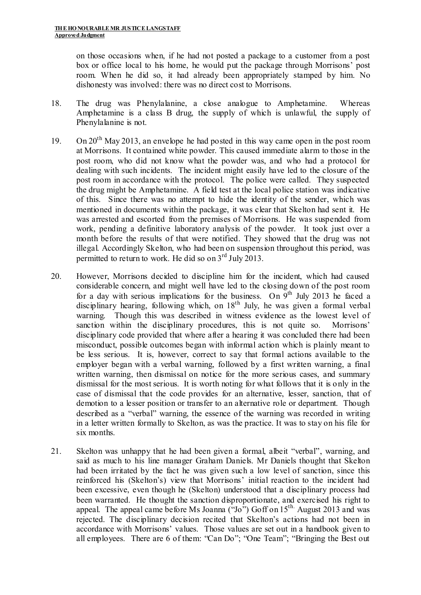on those occasions when, if he had not posted a package to a customer from a post box or office local to his home, he would put the package through Morrisons' post room. When he did so, it had already been appropriately stamped by him. No dishonesty was involved: there was no direct cost to Morrisons.

- 18. The drug was Phenylalanine, a close analogue to Amphetamine. Whereas Amphetamine is a class B drug, the supply of which is unlawful, the supply of Phenylalanine is not.
- 19. On 20<sup>th</sup> May 2013, an envelope he had posted in this way came open in the post room at Morrisons. It contained white powder. This caused immediate alarm to those in the post room, who did not know what the powder was, and who had a protocol for dealing with such incidents. The incident might easily have led to the closure of the post room in accordance with the protocol. The police were called. They suspected the drug might be Amphetamine. A field test at the local police station was indicative of this. Since there was no attempt to hide the identity of the sender, which was mentioned in documents within the package, it was clear that Skelton had sent it. He was arrested and escorted from the premises of Morrisons. He was suspended from work, pending a definitive laboratory analysis of the powder. It took just over a month before the results of that were notified. They showed that the drug was not illegal. Accordingly Skelton, who had been on suspension throughout this period, was permitted to return to work. He did so on 3rd July 2013.
- 20. However, Morrisons decided to discipline him for the incident, which had caused considerable concern, and might well have led to the closing down of the post room for a day with serious implications for the business. On  $\tilde{9}^{th}$  July 2013 he faced a disciplinary hearing, following which, on  $18<sup>th</sup>$  July, he was given a formal verbal warning. Though this was described in witness evidence as the lowest level of sanction within the disciplinary procedures, this is not quite so. Morrisons' disciplinary code provided that where after a hearing it was concluded there had been misconduct, possible outcomes began with informal action which is plainly meant to be less serious. It is, however, correct to say that formal actions available to the employer began with a verbal warning, followed by a first written warning, a final written warning, then dismissal on notice for the more serious cases, and summary dismissal for the most serious. It is worth noting for what follows that it is o nly in the case of dismissal that the code provides for an alternative, lesser, sanction, that of demotion to a lesser position or transfer to an alternative role or department. Though described as a "verbal" warning, the essence of the warning was recorded in writing in a letter written formally to Skelton, as was the practice. It was to stay on his file for six months.
- 21. Skelton was unhappy that he had been given a formal, albeit "verbal", warning, and said as much to his line manager Graham Daniels. Mr Daniels thought that Skelton had been irritated by the fact he was given such a low level of sanction, since this reinforced his (Skelton's) view that Morrisons' initial reaction to the incident had been excessive, even though he (Skelton) understood that a disciplinary process had been warranted. He thought the sanction disproportionate, and exercised his right to appeal. The appeal came before Ms Joanna ("Jo") Goff on  $15<sup>th</sup>$ . August 2013 and was rejected. The disciplinary decision recited that Skelton's actions had not been in accordance with Morrisons' values. Those values are set out in a handbook given to all employees. There are 6 of them: "Can Do"; "One Team"; "Bringing the Best out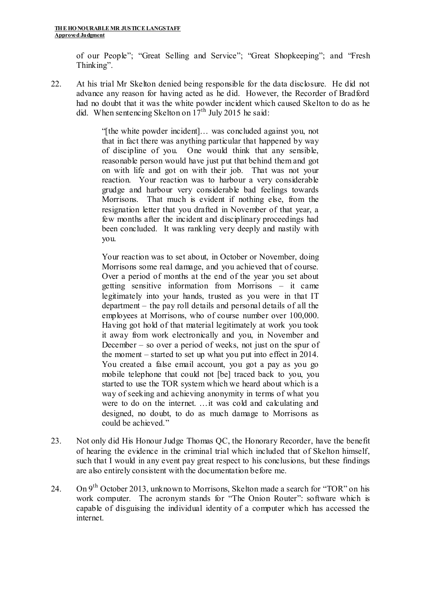of our People"; "Great Selling and Service"; "Great Shopkeeping"; and "Fresh Thinking".

22. At his trial Mr Skelton denied being responsible for the data disclosure. He did not advance any reason for having acted as he did. However, the Recorder of Bradford had no doubt that it was the white powder incident which caused Skelton to do as he did. When sentencing Skelton on  $17<sup>th</sup>$  July 2015 he said:

> "[the white powder incident]… was concluded against you, not that in fact there was anything particular that happened by way of discipline of you. One would think that any sensible, reasonable person would have just put that behind them and got on with life and got on with their job. That was not your reaction. Your reaction was to harbour a very considerable grudge and harbour very considerable bad feelings towards Morrisons. That much is evident if nothing else, from the resignation letter that you drafted in November of that year, a few months after the incident and disciplinary proceedings had been concluded. It was rankling very deeply and nastily with you.

> Your reaction was to set about, in October or November, doing Morrisons some real damage, and you achieved that of course. Over a period of months at the end of the year you set about getting sensitive information from Morrisons – it came legitimately into your hands, trusted as you were in that IT department – the pay roll details and personal details of all the employees at Morrisons, who of course number over 100,000. Having got hold of that material legitimately at work you took it away from work electronically and you, in November and December – so over a period of weeks, not just on the spur of the moment – started to set up what you put into effect in 2014. You created a false email account, you got a pay as you go mobile telephone that could not [be] traced back to you, you started to use the TOR system which we heard about which is a way of seeking and achieving anonymity in terms of what you were to do on the internet. …it was cold and calculating and designed, no doubt, to do as much damage to Morrisons as could be achieved."

- 23. Not only did His Honour Judge Thomas QC, the Honorary Recorder, have the benefit of hearing the evidence in the criminal trial which included that of Skelton himself, such that I would in any event pay great respect to his conclusions, but these findings are also entirely consistent with the documentation before me.
- 24. On 9<sup>th</sup> October 2013, unknown to Morrisons, Skelton made a search for "TOR" on his work computer. The acronym stands for "The Onion Router": software which is capable of disguising the individual identity of a computer which has accessed the internet.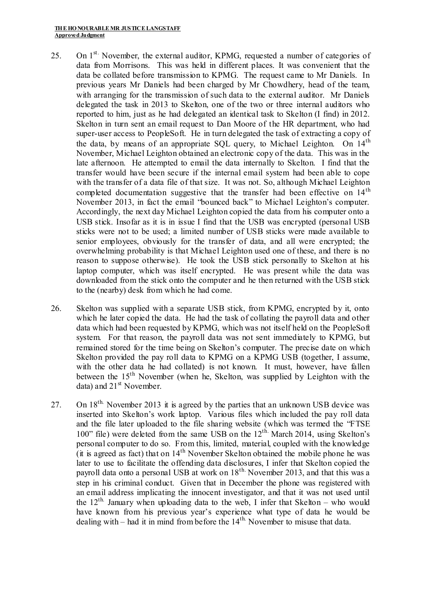- 25. On 1<sup>st.</sup> November, the external auditor, KPMG, requested a number of categories of data from Morrisons. This was held in different places. It was convenient that the data be collated before transmission to KPMG. The request came to Mr Daniels. In previous years Mr Daniels had been charged by Mr Chowdhery, head of the team, with arranging for the transmission of such data to the external auditor. Mr Daniels delegated the task in 2013 to Skelton, one of the two or three internal auditors who reported to him, just as he had delegated an identical task to Skelton (I find) in 2012. Skelton in turn sent an email request to Dan Moore of the HR department, who had super-user access to PeopleSoft. He in turn delegated the task of extracting a copy of the data, by means of an appropriate SQL query, to Michael Leighton. On 14<sup>th</sup> November, Michael Leighton obtained an electronic copy of the data. This was in the late afternoon. He attempted to email the data internally to Skelton. I find that the transfer would have been secure if the internal email system had been able to cope with the transfer of a data file of that size. It was not. So, although Michael Leighton completed documentation suggestive that the transfer had been effective on  $14<sup>th</sup>$ November 2013, in fact the email "bounced back" to Michael Leighton's computer. Accordingly, the next day Michael Leighton copied the data from his computer onto a USB stick. Insofar as it is in issue I find that the USB was encrypted (personal USB sticks were not to be used; a limited number of USB sticks were made available to senior employees, obviously for the transfer of data, and all were encrypted; the overwhelming probability is that Michael Leighton used one of these, and there is no reason to suppose otherwise). He took the USB stick personally to Skelton at his laptop computer, which was itself encrypted. He was present while the data was downloaded from the stick onto the computer and he then returned with the USB stick to the (nearby) desk from which he had come.
- 26. Skelton was supplied with a separate USB stick, from KPMG, encrypted by it, onto which he later copied the data. He had the task of collating the payroll data and other data which had been requested by KPMG, which was not itself held on the PeopleSoft system. For that reason, the payroll data was not sent immediately to KPMG, but remained stored for the time being on Skelton's computer. The precise date on which Skelton provided the pay roll data to KPMG on a KPMG USB (together, I assume, with the other data he had collated) is not known. It must, however, have fallen between the  $15<sup>th</sup>$  November (when he, Skelton, was supplied by Leighton with the data) and  $21<sup>st</sup>$  November.
- 27. On  $18^{th}$ . November 2013 it is agreed by the parties that an unknown USB device was inserted into Skelton's work laptop. Various files which included the pay roll data and the file later uploaded to the file sharing website (which was termed the "FTSE 100" file) were deleted from the same USB on the  $12<sup>th</sup>$  March 2014, using Skelton's personal computer to do so. From this, limited, material, coupled with the knowledge (it is agreed as fact) that on  $14<sup>th</sup>$  November Skelton obtained the mobile phone he was later to use to facilitate the offending data disclosures, I infer that Skelton copied the payroll data onto a personal USB at work on 18<sup>th.</sup> November 2013, and that this was a step in his criminal conduct. Given that in December the phone was registered with an email address implicating the innocent investigator, and that it was not used until the  $12<sup>th</sup>$  January when uploading data to the web, I infer that Skelton – who would have known from his previous year's experience what type of data he would be dealing with – had it in mind from before the 14<sup>th</sup>. November to misuse that data.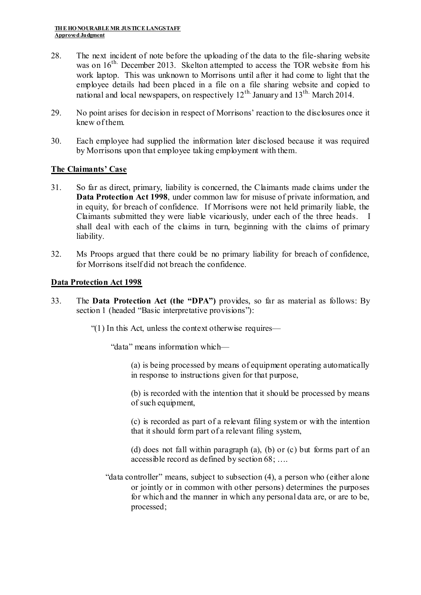- 28. The next incident of note before the uploading of the data to the file-sharing website was on 16<sup>th.</sup> December 2013. Skelton attempted to access the TOR website from his work laptop. This was unknown to Morrisons until after it had come to light that the employee details had been placed in a file on a file sharing website and copied to national and local newspapers, on respectively  $12^{th}$ . January and  $13^{th}$ . March 2014.
- 29. No point arises for decision in respect of Morrisons' reaction to the disclosures once it knew of them.
- 30. Each employee had supplied the information later disclosed because it was required by Morrisons upon that employee taking employment with them.

# **The Claimants' Case**

- 31. So far as direct, primary, liability is concerned, the Claimants made claims under the **Data Protection Act 1998**, under common law for misuse of private information, and in equity, for breach of confidence. If Morrisons were not held primarily liable, the Claimants submitted they were liable vicariously, under each of the three heads. I shall deal with each of the claims in turn, beginning with the claims of primary liability.
- 32. Ms Proops argued that there could be no primary liability for breach of confidence, for Morrisons itself did not breach the confidence.

# **Data Protection Act 1998**

- 33. The **Data Protection Act (the "DPA")** provides, so far as material as follows: By section 1 (headed "Basic interpretative provisions"):
	- "(1) In this Act, unless the context otherwise requires—
		- "data" means information which—
			- (a) is being processed by means of equipment operating automatically in response to instructions given for that purpose,
			- (b) is recorded with the intention that it should be processed by means of such equipment,
			- (c) is recorded as part of a relevant filing system or with the intention that it should form part of a relevant filing system,
			- (d) does not fall within paragraph (a), (b) or (c) but forms part of an accessible record as defined by section 68; ….
		- "data controller" means, subject to subsection (4), a person who (either alone or jointly or in common with other persons) determines the purposes for which and the manner in which any personal data are, or are to be, processed;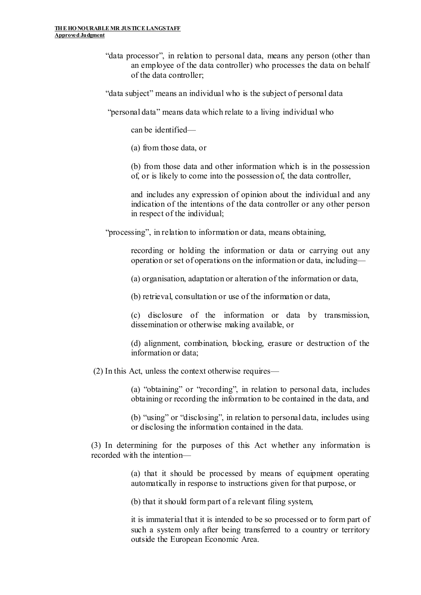"data processor", in relation to personal data, means any person (other than an employee of the data controller) who processes the data on behalf of the data controller;

"data subject" means an individual who is the subject of personal data

"personal data" means data which relate to a living individual who

can be identified—

(a) from those data, or

(b) from those data and other information which is in the possession of, or is likely to come into the possession of, the data controller,

and includes any expression of opinion about the individual and any indication of the intentions of the data controller or any other person in respect of the individual;

"processing", in relation to information or data, means obtaining,

recording or holding the information or data or carrying out any operation or set of operations on the information or data, including—

(a) organisation, adaptation or alteration of the information or data,

(b) retrieval, consultation or use of the information or data,

(c) disclosure of the information or data by transmission, dissemination or otherwise making available, or

(d) alignment, combination, blocking, erasure or destruction of the information or data;

(2) In this Act, unless the context otherwise requires—

(a) "obtaining" or "recording", in relation to personal data, includes obtaining or recording the information to be contained in the data, and

(b) "using" or "disclosing", in relation to personal data, includes using or disclosing the information contained in the data.

(3) In determining for the purposes of this Act whether any information is recorded with the intention—

> (a) that it should be processed by means of equipment operating automatically in response to instructions given for that purpose, or

(b) that it should form part of a relevant filing system,

it is immaterial that it is intended to be so processed or to form part of such a system only after being transferred to a country or territory outside the European Economic Area.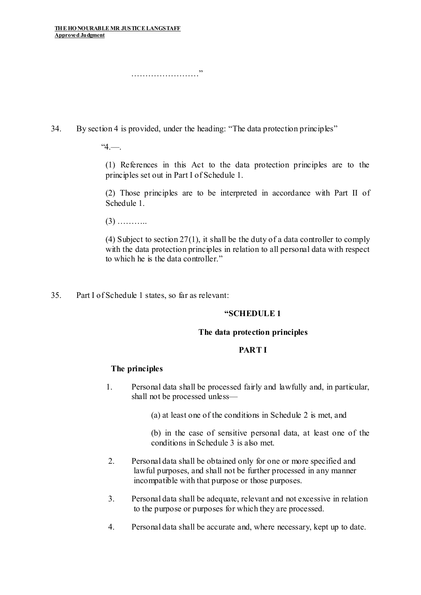……………………"

34. By section 4 is provided, under the heading: "The data protection principles"

"4.—.

(1) References in this Act to the data protection principles are to the principles set out in Part I of Schedule 1.

(2) Those principles are to be interpreted in accordance with Part II of Schedule 1.

 $(3)$  …………

(4) Subject to section 27(1), it shall be the duty of a data controller to comply with the data protection principles in relation to all personal data with respect to which he is the data controller."

35. Part I of Schedule 1 states, so far as relevant:

# **"SCHEDULE 1**

#### **The data protection principles**

#### **PART I**

# **The principles**

1. Personal data shall be processed fairly and lawfully and, in particular, shall not be processed unless—

(a) at least one of the conditions in Schedule 2 is met, and

(b) in the case of sensitive personal data, at least one of the conditions in Schedule 3 is also met.

- 2. Personal data shall be obtained only for one or more specified and lawful purposes, and shall not be further processed in any manner incompatible with that purpose or those purposes.
- 3. Personal data shall be adequate, relevant and not excessive in relation to the purpose or purposes for which they are processed.
- 4. Personal data shall be accurate and, where necessary, kept up to date.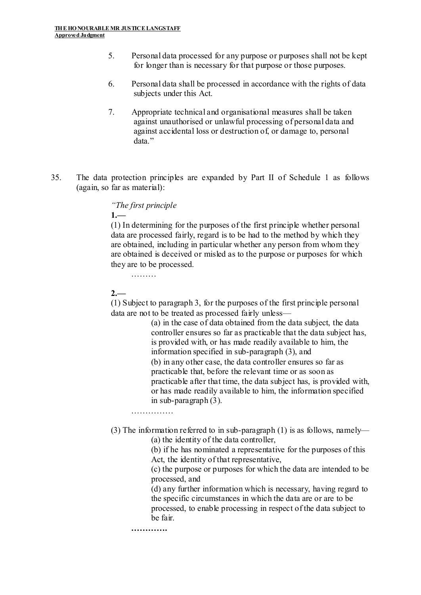- 5. Personal data processed for any purpose or purposes shall not be kept for longer than is necessary for that purpose or those purposes.
- 6. Personal data shall be processed in accordance with the rights of data subjects under this Act.
- 7. Appropriate technical and organisational measures shall be taken against unauthorised or unlawful processing of personal data and against accidental loss or destruction of, or damage to, personal data."
- 35. The data protection principles are expanded by Part II of Schedule 1 as follows (again, so far as material):

*"The first principle* 

#### **1.—**

(1) In determining for the purposes of the first principle whether personal data are processed fairly, regard is to be had to the method by which they are obtained, including in particular whether any person from whom they are obtained is deceived or misled as to the purpose or purposes for which they are to be processed.

………

# **2.—**

(1) Subject to paragraph 3, for the purposes of the first principle personal data are not to be treated as processed fairly unless—

> (a) in the case of data obtained from the data subject, the data controller ensures so far as practicable that the data subject has, is provided with, or has made readily available to him, the information specified in sub-paragraph (3), and (b) in any other case, the data controller ensures so far as practicable that, before the relevant time or as soon as practicable after that time, the data subject has, is provided with, or has made readily available to him, the information specified in sub-paragraph (3).

……………

(3) The information referred to in sub-paragraph (1) is as follows, namely— (a) the identity of the data controller,

(b) if he has nominated a representative for the purposes of this Act, the identity of that representative,

(c) the purpose or purposes for which the data are intended to be processed, and

(d) any further information which is necessary, having regard to the specific circumstances in which the data are or are to be processed, to enable processing in respect of the data subject to be fair.

**………….**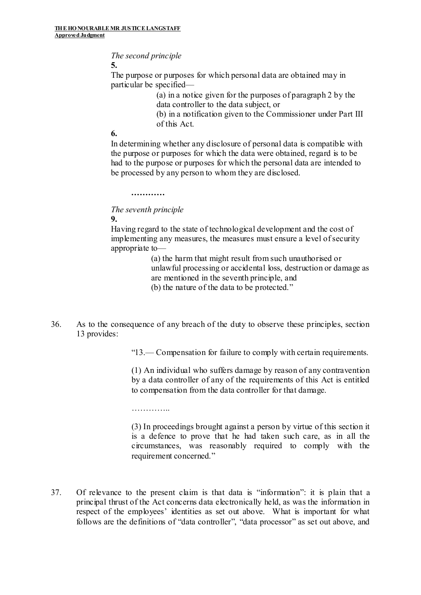#### *The second principle*

**5.**

The purpose or purposes for which personal data are obtained may in particular be specified—

(a) in a notice given for the purposes of paragraph 2 by the data controller to the data subject, or

(b) in a notification given to the Commissioner under Part III of this Act.

#### **6.**

In determining whether any disclosure of personal data is compatible with the purpose or purposes for which the data were obtained, regard is to be had to the purpose or purposes for which the personal data are intended to be processed by any person to whom they are disclosed.

**…………**

*The seventh principle* 

**9.**

Having regard to the state of technological development and the cost of implementing any measures, the measures must ensure a level of security appropriate to—

> (a) the harm that might result from such unauthorised or unlawful processing or accidental loss, destruction or damage as are mentioned in the seventh principle, and (b) the nature of the data to be protected."

36. As to the consequence of any breach of the duty to observe these principles, section

13 provides:

"13.— Compensation for failure to comply with certain requirements.

(1) An individual who suffers damage by reason of any contravention by a data controller of any of the requirements of this Act is entitled to compensation from the data controller for that damage.

…………..

(3) In proceedings brought against a person by virtue of this section it is a defence to prove that he had taken such care, as in all the circumstances, was reasonably required to comply with the requirement concerned."

37. Of relevance to the present claim is that data is "information": it is plain that a principal thrust of the Act concerns data electronically held, as was the information in respect of the employees' identities as set out above. What is important for what follows are the definitions of "data controller", "data processor" as set out above, and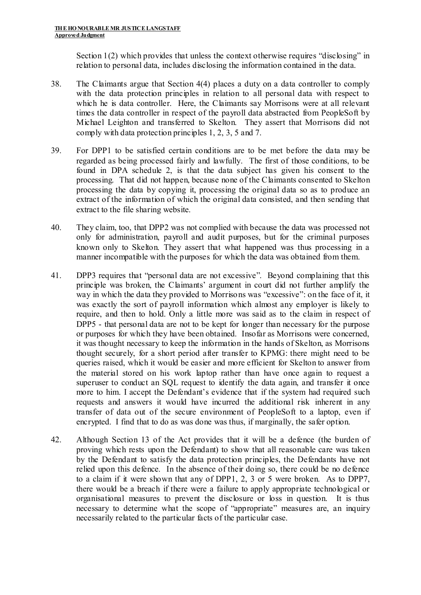Section  $1(2)$  which provides that unless the context otherwise requires "disclosing" in relation to personal data, includes disclosing the information contained in the data.

- 38. The Claimants argue that Section 4(4) places a duty on a data controller to comply with the data protection principles in relation to all personal data with respect to which he is data controller. Here, the Claimants say Morrisons were at all relevant times the data controller in respect of the payroll data abstracted from PeopleSoft by Michael Leighton and transferred to Skelton. They assert that Morrisons did not comply with data protection principles 1, 2, 3, 5 and 7.
- 39. For DPP1 to be satisfied certain conditions are to be met before the data may be regarded as being processed fairly and lawfully. The first of those conditions, to be found in DPA schedule 2, is that the data subject has given his consent to the processing. That did not happen, because none of the Claimants consented to Skelton processing the data by copying it, processing the original data so as to produce an extract of the information of which the original data consisted, and then sending that extract to the file sharing website.
- 40. They claim, too, that DPP2 was not complied with because the data was processed not only for administration, payroll and audit purposes, but for the criminal purposes known only to Skelton. They assert that what happened was thus processing in a manner incompatible with the purposes for which the data was obtained from them.
- 41. DPP3 requires that "personal data are not excessive". Beyond complaining that this principle was broken, the Claimants' argument in court did not further amplify the way in which the data they provided to Morrisons was "excessive": on the face of it, it was exactly the sort of payroll information which almost any employer is likely to require, and then to hold. Only a little more was said as to the claim in respect of DPP5 - that personal data are not to be kept for longer than necessary for the purpose or purposes for which they have been obtained. Insofar as Morrisons were concerned, it was thought necessary to keep the information in the hands of Skelton, as Morrisons thought securely, for a short period after transfer to KPMG: there might need to be queries raised, which it would be easier and more efficient for Skelton to answer from the material stored on his work laptop rather than have once again to request a superuser to conduct an SQL request to identify the data again, and transfer it once more to him. I accept the Defendant's evidence that if the system had required such requests and answers it would have incurred the additional risk inherent in any transfer of data out of the secure environment of PeopleSoft to a laptop, even if encrypted. I find that to do as was done was thus, if marginally, the safer option.
- 42. Although Section 13 of the Act provides that it will be a defence (the burden of proving which rests upon the Defendant) to show that all reasonable care was taken by the Defendant to satisfy the data protection principles, the Defendants have not relied upon this defence. In the absence of their doing so, there could be no defence to a claim if it were shown that any of DPP1, 2, 3 or 5 were broken. As to DPP7, there would be a breach if there were a failure to apply appropriate technological or organisational measures to prevent the disclosure or loss in question. It is thus necessary to determine what the scope of "appropriate" measures are, an inquiry necessarily related to the particular facts of the particular case.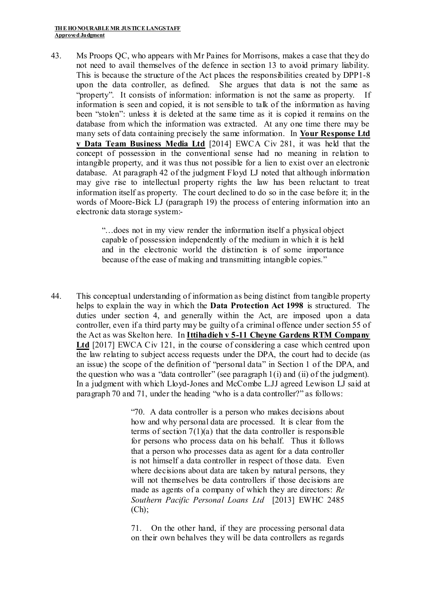43. Ms Proops QC, who appears with Mr Paines for Morrisons, makes a case that they do not need to avail themselves of the defence in section 13 to avoid primary liability. This is because the structure of the Act places the responsibilities created by DPP1-8 upon the data controller, as defined. She argues that data is not the same as "property". It consists of information: information is not the same as property. If information is seen and copied, it is not sensible to talk of the information as having been "stolen": unless it is deleted at the same time as it is copied it remains on the database from which the information was extracted. At any one time there may be many sets of data containing precisely the same information. In **Your Response Ltd v Data Team Business Media Ltd** [2014] EWCA Civ 281, it was held that the concept of possession in the conventional sense had no meaning in relation to intangible property, and it was thus not possible for a lien to exist over an electronic database. At paragraph 42 of the judgment Floyd LJ noted that although information may give rise to intellectual property rights the law has been reluctant to treat information itself as property. The court declined to do so in the case before it; in the words of Moore-Bick LJ (paragraph 19) the process of entering information into an electronic data storage system:-

> "…does not in my view render the information itself a physical object capable of possession independently of the medium in which it is held and in the electronic world the distinction is of some importance because of the ease of making and transmitting intangible copies."

44. This conceptual understanding of information as being distinct from tangible property helps to explain the way in which the **Data Protection Act 1998** is structured. The duties under section 4, and generally within the Act, are imposed upon a data controller, even if a third party may be guilty of a criminal offence under section 55 of the Act as was Skelton here. In **Ittihadieh v 5-11 Cheyne Gardens RTM Company Ltd** [2017] EWCA Civ 121, in the course of considering a case which centred upon the law relating to subject access requests under the DPA, the court had to decide (as an issue) the scope of the definition of "personal data" in Section 1 of the DPA, and the question who was a "data controller" (see paragraph  $1(i)$  and  $(ii)$  of the judgment). In a judgment with which Lloyd-Jones and McCombe L.JJ agreed Lewison LJ said at paragraph 70 and 71, under the heading "who is a data controller?" as follows:

> "70. A data controller is a person who makes decisions about how and why personal data are processed. It is clear from the terms of section  $7(1)(a)$  that the data controller is responsible for persons who process data on his behalf. Thus it follows that a person who processes data as agent for a data controller is not himself a data controller in respect of those data. Even where decisions about data are taken by natural persons, they will not themselves be data controllers if those decisions are made as agents of a company of which they are directors: *Re Southern Pacific Personal Loans Ltd* [2013] EWHC 2485  $(Ch)$ ;

> 71. On the other hand, if they are processing personal data on their own behalves they will be data controllers as regards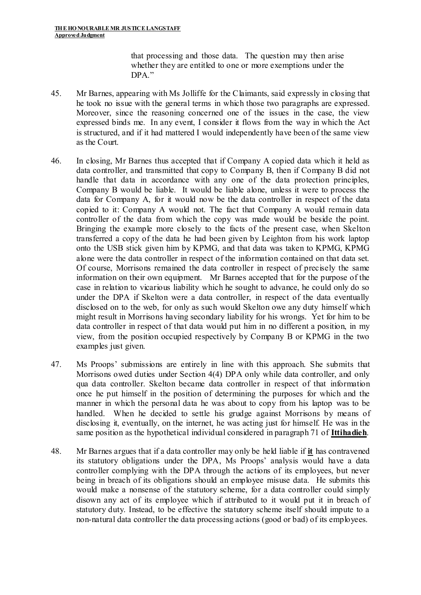that processing and those data. The question may then arise whether they are entitled to one or more exemptions under the DPA."

- 45. Mr Barnes, appearing with Ms Jolliffe for the Claimants, said expressly in closing that he took no issue with the general terms in which those two paragraphs are expressed. Moreover, since the reasoning concerned one of the issues in the case, the view expressed binds me. In any event, I consider it flows from the way in which the Act is structured, and if it had mattered I would independently have been of the same view as the Court.
- 46. In closing, Mr Barnes thus accepted that if Company A copied data which it held as data controller, and transmitted that copy to Company B, then if Company B did not handle that data in accordance with any one of the data protection principles, Company B would be liable. It would be liable alone, unless it were to process the data for Company A, for it would now be the data controller in respect of the data copied to it: Company A would not. The fact that Company A would remain data controller of the data from which the copy was made would be beside the point. Bringing the example more closely to the facts of the present case, when Skelton transferred a copy of the data he had been given by Leighton from his work laptop onto the USB stick given him by KPMG, and that data was taken to KPMG, KPMG alone were the data controller in respect of the information contained on that data set. Of course, Morrisons remained the data controller in respect of precisely the same information on their own equipment. Mr Barnes accepted that for the purpose of the case in relation to vicarious liability which he sought to advance, he could only do so under the DPA if Skelton were a data controller, in respect of the data eventually disclosed on to the web, for only as such would Skelton owe any duty himself which might result in Morrisons having secondary liability for his wrongs. Yet for him to be data controller in respect of that data would put him in no different a position, in my view, from the position occupied respectively by Company B or KPMG in the two examples just given.
- 47. Ms Proops' submissions are entirely in line with this approach. She submits that Morrisons owed duties under Section 4(4) DPA only while data controller, and only qua data controller. Skelton became data controller in respect of that information once he put himself in the position of determining the purposes for which and the manner in which the personal data he was about to copy from his laptop was to be handled. When he decided to settle his grudge against Morrisons by means of disclosing it, eventually, on the internet, he was acting just for himself. He was in the same position as the hypothetical individual considered in paragraph 71 of **Ittihadieh**.
- 48. Mr Barnes argues that if a data controller may only be held liable if **it** has contravened its statutory obligations under the DPA, Ms Proops' analysis would have a data controller complying with the DPA through the actions of its employees, but never being in breach of its obligations should an employee misuse data. He submits this would make a nonsense of the statutory scheme, for a data controller could simply disown any act of its employee which if attributed to it would put it in breach of statutory duty. Instead, to be effective the statutory scheme itself should impute to a non-natural data controller the data processing actions (good or bad) of its employees.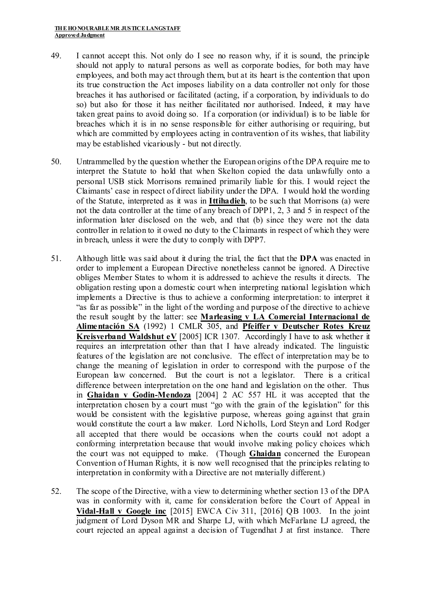- 49. I cannot accept this. Not only do I see no reason why, if it is sound, the principle should not apply to natural persons as well as corporate bodies, for both may have employees, and both may act through them, but at its heart is the contention that upon its true construction the Act imposes liability on a data controller not only for those breaches it has authorised or facilitated (acting, if a corporation, by individuals to do so) but also for those it has neither facilitated nor authorised. Indeed, it may have taken great pains to avoid doing so. If a corporation (or individual) is to be liable for breaches which it is in no sense responsible for either authorising or requiring, but which are committed by employees acting in contravention of its wishes, that liability may be established vicariously - but not directly.
- 50. Untrammelled by the question whether the European origins of the DPA require me to interpret the Statute to hold that when Skelton copied the data unlawfully onto a personal USB stick Morrisons remained primarily liable for this. I would reject the Claimants' case in respect of direct liability under the DPA. I would hold the wording of the Statute, interpreted as it was in **Ittihadieh**, to be such that Morrisons (a) were not the data controller at the time of any breach of DPP1, 2, 3 and 5 in respect of the information later disclosed on the web, and that (b) since they were not the data controller in relation to it owed no duty to the Claimants in respect of which they were in breach, unless it were the duty to comply with DPP7.
- 51. Although little was said about it during the trial, the fact that the **DPA** was enacted in order to implement a European Directive nonetheless cannot be ignored. A Directive obliges Member States to whom it is addressed to achieve the results it directs. The obligation resting upon a domestic court when interpreting national legislation which implements a Directive is thus to achieve a conforming interpretation: to interpret it "as far as possible" in the light of the wording and purpose of the directive to achieve the result sought by the latter: see **Marleasing v LA Comercial Internacional de Alimentación SA** (1992) 1 CMLR 305, and **Pfeiffer v Deutscher Rotes Kreuz Kreisverband Waldshut eV** [2005] ICR 1307. Accordingly I have to ask whether it requires an interpretation other than that I have already indicated. The linguistic features of the legislation are not conclusive. The effect of interpretation may be to change the meaning of legislation in order to correspond with the purpose of the European law concerned. But the court is not a legislator. There is a critical difference between interpretation on the one hand and legislation on the other. Thus in **Ghaidan v Godin-Mendoza** [2004] 2 AC 557 HL it was accepted that the interpretation chosen by a court must "go with the grain of the legislation" for this would be consistent with the legislative purpose, whereas going against that grain would constitute the court a law maker. Lord Nicholls, Lord Steyn and Lord Rodger all accepted that there would be occasions when the courts could not adopt a conforming interpretation because that would involve making policy choices which the court was not equipped to make. (Though **Ghaidan** concerned the European Convention of Human Rights, it is now well recognised that the principles relating to interpretation in conformity with a Directive are not materially different.)
- 52. The scope of the Directive, with a view to determining whether section 13 of the DPA was in conformity with it, came for consideration before the Court of Appeal in **Vidal-Hall v Google inc** [2015] EWCA Civ 311, [2016] QB 1003. In the joint judgment of Lord Dyson MR and Sharpe LJ, with which McFarlane LJ agreed, the court rejected an appeal against a decision of Tugendhat J at first instance. There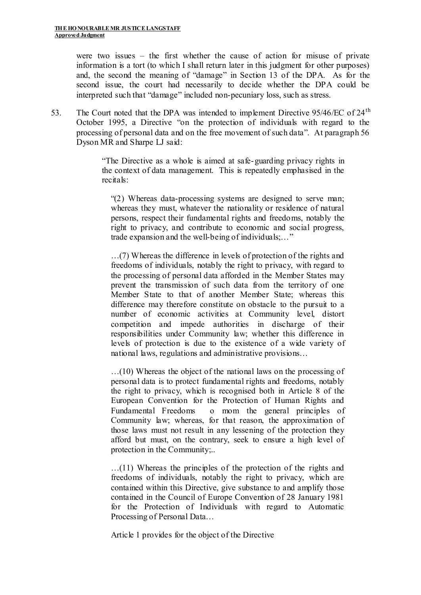were two issues – the first whether the cause of action for misuse of private information is a tort (to which I shall return later in this judgment for other purposes) and, the second the meaning of "damage" in Section 13 of the DPA. As for the second issue, the court had necessarily to decide whether the DPA could be interpreted such that "damage" included non-pecuniary loss, such as stress.

53. The Court noted that the DPA was intended to implement Directive 95/46/EC of 24<sup>th</sup> October 1995, a Directive "on the protection of individuals with regard to the processing of personal data and on the free movement of such data". At paragraph 56 Dyson MR and Sharpe LJ said:

> "The Directive as a whole is aimed at safe-guarding privacy rights in the context of data management. This is repeatedly emphasised in the recitals:

"(2) Whereas data-processing systems are designed to serve man; whereas they must, whatever the nationality or residence of natural persons, respect their fundamental rights and freedoms, notably the right to privacy, and contribute to economic and social progress, trade expansion and the well-being of individuals;…"

…(7) Whereas the difference in levels of protection of the rights and freedoms of individuals, notably the right to privacy, with regard to the processing of personal data afforded in the Member States may prevent the transmission of such data from the territory of one Member State to that of another Member State; whereas this difference may therefore constitute on obstacle to the pursuit to a number of economic activities at Community level, distort competition and impede authorities in discharge of their responsibilities under Community law; whether this difference in levels of protection is due to the existence of a wide variety of national laws, regulations and administrative provisions…

…(10) Whereas the object of the national laws on the processing of personal data is to protect fundamental rights and freedoms, notably the right to privacy, which is recognised both in Article 8 of the European Convention for the Protection of Human Rights and Fundamental Freedoms o mom the general principles of Community law; whereas, for that reason, the approximation of those laws must not result in any lessening of the protection they afford but must, on the contrary, seek to ensure a high level of protection in the Community;..

…(11) Whereas the principles of the protection of the rights and freedoms of individuals, notably the right to privacy, which are contained within this Directive, give substance to and amplify those contained in the Council of Europe Convention of 28 January 1981 for the Protection of Individuals with regard to Automatic Processing of Personal Data…

Article 1 provides for the object of the Directive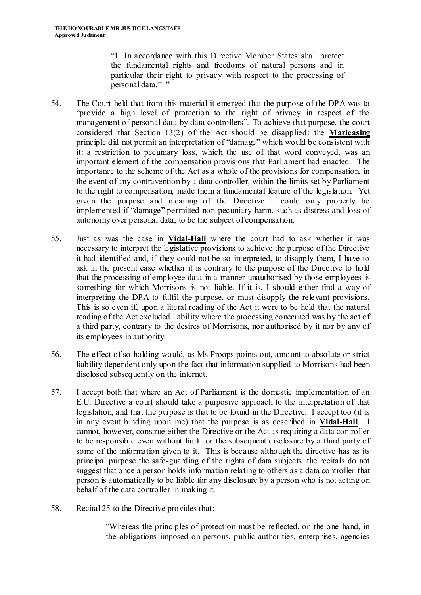"1. In accordance with this Directive Member States shall protect the fundamental rights and freedoms of natural persons and in particular their right to privacy with respect to the processing of personal data.""

- 54. The Court held that from this material it emerged that the purpose of the DPA was to "provide a high level of protection to the right of privacy in respect of the management of personal data by data controllers". To achieve that purpose, the court considered that Section 13(2) of the Act should be disapplied: the **Marleasing** principle did not permit an interpretation of "damage" which would be consistent with it: a restriction to pecuniary loss, which the use of that word conveyed, was an important element of the compensation provisions that Parliament had enacted. The importance to the scheme of the Act as a whole of the provisions for compensation, in the event of any contravention by a data controller, within the limits set by Parliament to the right to compensation, made them a fundamental feature of the legislation. Yet given the purpose and meaning of the Directive it could only properly be implemented if "damage" permitted non-pecuniary harm, such as distress and loss of autonomy over personal data, to be the subject of compensation.
- 55. Just as was the case in **Vidal-Hall** where the court had to ask whether it was necessary to interpret the legislative provisions to achieve the purpose of the Directive it had identified and, if they could not be so interpreted, to disapply them, I have to ask in the present case whether it is contrary to the purpose of the Directive to hold that the processing of employee data in a manner unauthorised by those employees is something for which Morrisons is not liable. If it is, I should either find a way of interpreting the DPA to fulfil the purpose, or must disapply the relevant provisions. This is so even if, upon a literal reading of the Act it were to be held that the natural reading of the Act excluded liability where the processing concerned was by the act of a third party, contrary to the desires of Morrisons, nor authorised by it nor by any of its employees in authority.
- 56. The effect of so holding would, as Ms Proops points out, amount to absolute or strict liability dependent only upon the fact that information supplied to Morrisons had been disclosed subsequently on the internet.
- 57. I accept both that where an Act of Parliament is the domestic implementation of an E.U. Directive a court should take a purposive approach to the interpretation of that legislation, and that the purpose is that to be found in the Directive. I accept too (it is in any event binding upon me) that the purpose is as described in **Vidal-Hall**. I cannot, however, construe either the Directive or the Act as requiring a data controller to be responsible even without fault for the subsequent disclosure by a third party of some of the information given to it. This is because although the directive has as its principal purpose the safe-guarding of the rights of data subjects, the recitals do not suggest that once a person holds information relating to others as a data controller that person is automatically to be liable for any disclosure by a person who is not acting on behalf of the data controller in making it.
- 58. Recital 25 to the Directive provides that:

"Whereas the principles of protection must be reflected, on the one hand, in the obligations imposed on persons, public authorities, enterprises, agencies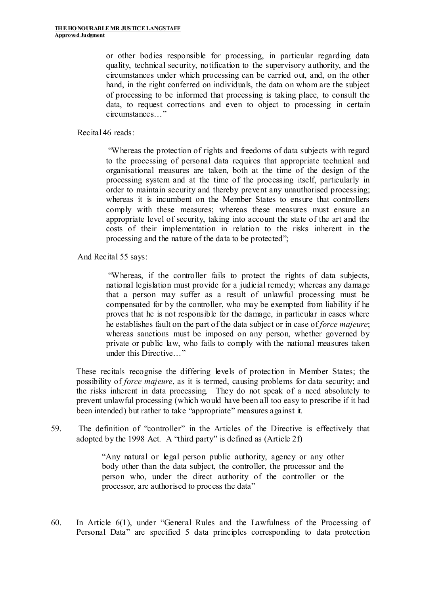or other bodies responsible for processing, in particular regarding data quality, technical security, notification to the supervisory authority, and the circumstances under which processing can be carried out, and, on the other hand, in the right conferred on individuals, the data on whom are the subject of processing to be informed that processing is taking place, to consult the data, to request corrections and even to object to processing in certain circumstances…"

Recital 46 reads:

 "Whereas the protection of rights and freedoms of data subjects with regard to the processing of personal data requires that appropriate technical and organisational measures are taken, both at the time of the design of the processing system and at the time of the processing itself, particularly in order to maintain security and thereby prevent any unauthorised processing; whereas it is incumbent on the Member States to ensure that controllers comply with these measures; whereas these measures must ensure an appropriate level of security, taking into account the state of the art and the costs of their implementation in relation to the risks inherent in the processing and the nature of the data to be protected";

And Recital 55 says:

 "Whereas, if the controller fails to protect the rights of data subjects, national legislation must provide for a judicial remedy; whereas any damage that a person may suffer as a result of unlawful processing must be compensated for by the controller, who may be exempted from liability if he proves that he is not responsible for the damage, in particular in cases where he establishes fault on the part of the data subject or in case of *force majeure*; whereas sanctions must be imposed on any person, whether governed by private or public law, who fails to comply with the national measures taken under this Directive…"

These recitals recognise the differing levels of protection in Member States; the possibility of *force majeure*, as it is termed, causing problems for data security; and the risks inherent in data processing. They do not speak of a need absolutely to prevent unlawful processing (which would have been all too easy to prescribe if it had been intended) but rather to take "appropriate" measures against it.

59. The definition of "controller" in the Articles of the Directive is effectively that adopted by the 1998 Act. A "third party" is defined as (Article 2f)

> "Any natural or legal person public authority, agency or any other body other than the data subject, the controller, the processor and the person who, under the direct authority of the controller or the processor, are authorised to process the data"

60. In Article 6(1), under "General Rules and the Lawfulness of the Processing of Personal Data" are specified 5 data principles corresponding to data protection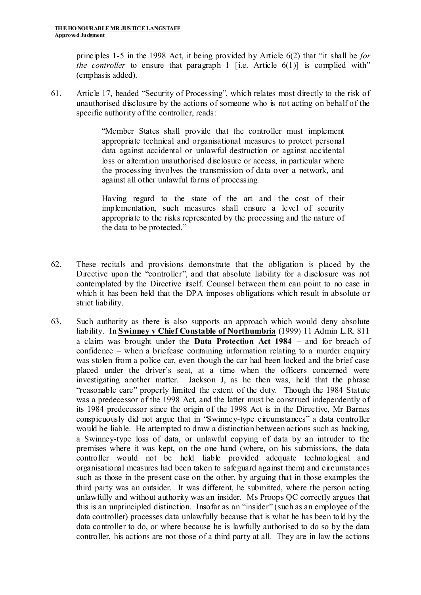principles 1-5 in the 1998 Act, it being provided by Article 6(2) that "it shall be *for the controller* to ensure that paragraph 1 [i.e. Article  $6(1)$ ] is complied with" (emphasis added).

61. Article 17, headed "Security of Processing", which relates most directly to the risk of unauthorised disclosure by the actions of someone who is not acting on behalf of the specific authority of the controller, reads:

> "Member States shall provide that the controller must implement appropriate technical and organisational measures to protect personal data against accidental or unlawful destruction or against accidental loss or alteration unauthorised disclosure or access, in particular where the processing involves the transmission of data over a network, and against all other unlawful forms of processing.

> Having regard to the state of the art and the cost of their implementation, such measures shall ensure a level of security appropriate to the risks represented by the processing and the nature of the data to be protected."

- 62. These recitals and provisions demonstrate that the obligation is placed by the Directive upon the "controller", and that absolute liability for a disclosure was not contemplated by the Directive itself. Counsel between them can point to no case in which it has been held that the DPA imposes obligations which result in absolute or strict liability.
- 63. Such authority as there is also supports an approach which would deny absolute liability. In **Swinney v Chief Constable of Northumbria** (1999) 11 Admin L.R. 811 a claim was brought under the **Data Protection Act 1984** – and for breach of confidence – when a briefcase containing information relating to a murder enquiry was stolen from a police car, even though the car had been locked and the brief case placed under the driver's seat, at a time when the officers concerned were investigating another matter. Jackson J, as he then was, held that the phrase "reasonable care" properly limited the extent of the duty. Though the 1984 Statute was a predecessor of the 1998 Act, and the latter must be construed independently of its 1984 predecessor since the origin of the 1998 Act is in the Directive, Mr Barnes conspicuously did not argue that in "Swinney-type circumstances" a data controller would be liable. He attempted to draw a distinction between actions such as hacking, a Swinney-type loss of data, or unlawful copying of data by an intruder to the premises where it was kept, on the one hand (where, on his submissions, the data controller would not be held liable provided adequate technological and organisational measures had been taken to safeguard against them) and circumstances such as those in the present case on the other, by arguing that in those examples the third party was an outsider. It was different, he submitted, where the person acting unlawfully and without authority was an insider. Ms Proops QC correctly argues that this is an unprincipled distinction. Insofar as an "insider" (such as an employee of the data controller) processes data unlawfully because that is what he has been told by the data controller to do, or where because he is lawfully authorised to do so by the data controller, his actions are not those of a third party at all. They are in law the actions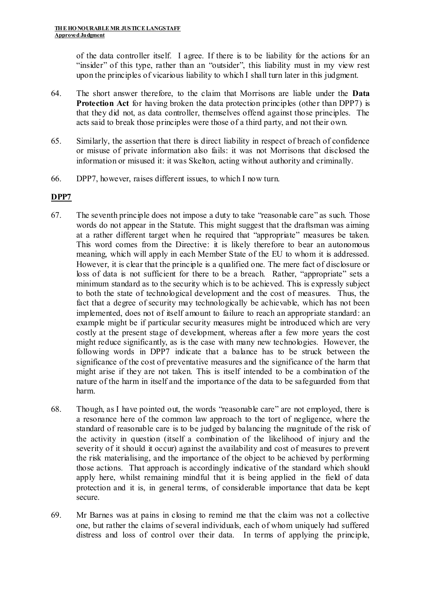of the data controller itself. I agree. If there is to be liability for the actions for an "insider" of this type, rather than an "outsider", this liability must in my view rest upon the principles of vicarious liability to which I shall turn later in this judgment.

- 64. The short answer therefore, to the claim that Morrisons are liable under the **Data Protection Act** for having broken the data protection principles (other than DPP7) is that they did not, as data controller, themselves offend against those principles. The acts said to break those principles were those of a third party, and not their own.
- 65. Similarly, the assertion that there is direct liability in respect of breach of confidence or misuse of private information also fails: it was not Morrisons that disclosed the information or misused it: it was Skelton, acting without authority and criminally.
- 66. DPP7, however, raises different issues, to which I now turn.

# **DPP7**

- 67. The seventh principle does not impose a duty to take "reasonable care" as such. Those words do not appear in the Statute. This might suggest that the draftsman was aiming at a rather different target when he required that "appropriate" measures be taken. This word comes from the Directive: it is likely therefore to bear an autonomous meaning, which will apply in each Member State of the EU to whom it is addressed. However, it is clear that the principle is a qualified one. The mere fact of disclosure or loss of data is not sufficient for there to be a breach. Rather, "appropriate" sets a minimum standard as to the security which is to be achieved. This is expressly subject to both the state of technological development and the cost of measures. Thus, the fact that a degree of security may technologically be achievable, which has not been implemented, does not of itself amount to failure to reach an appropriate standard: an example might be if particular security measures might be introduced which are very costly at the present stage of development, whereas after a few more years the cost might reduce significantly, as is the case with many new technologies. However, the following words in DPP7 indicate that a balance has to be struck between the significance of the cost of preventative measures and the significance of the harm that might arise if they are not taken. This is itself intended to be a combination of the nature of the harm in itself and the importance of the data to be safeguarded from that harm.
- 68. Though, as I have pointed out, the words "reasonable care" are not employed, there is a resonance here of the common law approach to the tort of negligence, where the standard of reasonable care is to be judged by balancing the magnitude of the risk of the activity in question (itself a combination of the likelihood of injury and the severity of it should it occur) against the availability and cost of measures to prevent the risk materialising, and the importance of the object to be achieved by performing those actions. That approach is accordingly indicative of the standard which should apply here, whilst remaining mindful that it is being applied in the field of data protection and it is, in general terms, of considerable importance that data be kept secure.
- 69. Mr Barnes was at pains in closing to remind me that the claim was not a collective one, but rather the claims of several individuals, each of whom uniquely had suffered distress and loss of control over their data. In terms of applying the principle,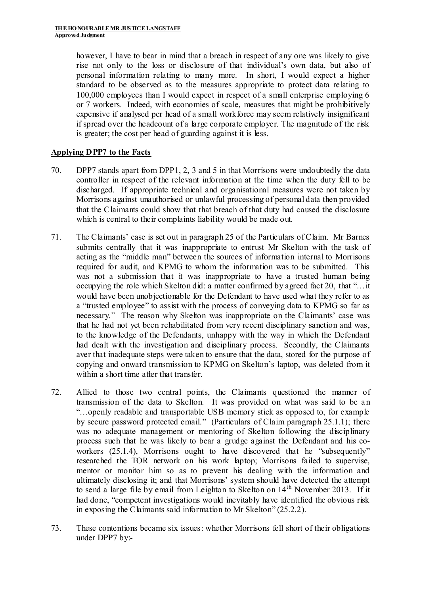however, I have to bear in mind that a breach in respect of any one was likely to give rise not only to the loss or disclosure of that individual's own data, but also of personal information relating to many more. In short, I would expect a higher standard to be observed as to the measures appropriate to protect data relating to 100,000 employees than I would expect in respect of a small enterprise employing 6 or 7 workers. Indeed, with economies of scale, measures that might be prohibitively expensive if analysed per head of a small workforce may seem relatively insignificant if spread over the headcount of a large corporate employer. The magnitude of the risk is greater; the cost per head of guarding against it is less.

# **Applying DPP7 to the Facts**

- 70. DPP7 stands apart from DPP1, 2, 3 and 5 in that Morrisons were undoubtedly the data controller in respect of the relevant information at the time when the duty fell to be discharged. If appropriate technical and organisational measures were not taken by Morrisons against unauthorised or unlawful processing of personal data then provided that the Claimants could show that that breach of that duty had caused the disclosure which is central to their complaints liability would be made out.
- 71. The Claimants' case is set out in paragraph 25 of the Particulars of Claim. Mr Barnes submits centrally that it was inappropriate to entrust Mr Skelton with the task of acting as the "middle man" between the sources of information internal to Morrisons required for audit, and KPMG to whom the information was to be submitted. This was not a submission that it was inappropriate to have a trusted human being occupying the role which Skelton did: a matter confirmed by agreed fact 20, that "…it would have been unobjectionable for the Defendant to have used what they refer to as a "trusted employee" to assist with the process of conveying data to KPMG so far as necessary." The reason why Skelton was inappropriate on the Claimants' case was that he had not yet been rehabilitated from very recent disciplinary sanction and was, to the knowledge of the Defendants, unhappy with the way in which the Defendant had dealt with the investigation and disciplinary process. Secondly, the Claimants aver that inadequate steps were taken to ensure that the data, stored for the purpose of copying and onward transmission to KPMG on Skelton's laptop, was deleted from it within a short time after that transfer.
- 72. Allied to those two central points, the Claimants questioned the manner of transmission of the data to Skelton. It was provided on what was said to be a n "…openly readable and transportable USB memory stick as opposed to, for example by secure password protected email." (Particulars of Claim paragraph 25.1.1); there was no adequate management or mentoring of Skelton following the disciplinary process such that he was likely to bear a grudge against the Defendant and his coworkers (25.1.4), Morrisons ought to have discovered that he "subsequently" researched the TOR network on his work laptop; Morrisons failed to supervise, mentor or monitor him so as to prevent his dealing with the information and ultimately disclosing it; and that Morrisons' system should have detected the attempt to send a large file by email from Leighton to Skelton on 14<sup>th</sup> November 2013. If it had done, "competent investigations would inevitably have identified the obvious risk in exposing the Claimants said information to Mr Skelton" (25.2.2).
- 73. These contentions became six issues: whether Morrisons fell short of their obligations under DPP7 by:-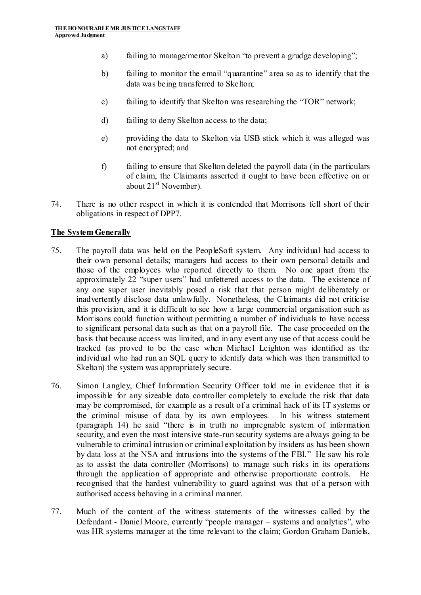- a) failing to manage/mentor Skelton "to prevent a grudge developing";
- b) failing to monitor the email "quarantine" area so as to identify that the data was being transferred to Skelton;
- c) failing to identify that Skelton was researching the "TOR" network;
- d) failing to deny Skelton access to the data;
- e) providing the data to Skelton via USB stick which it was alleged was not encrypted; and
- f) failing to ensure that Skelton deleted the payroll data (in the particulars of claim, the Claimants asserted it ought to have been effective on or about  $21<sup>st</sup>$  November).
- 74. There is no other respect in which it is contended that Morrisons fell short of their obligations in respect of DPP7.

#### **The System Generally**

- 75. The payroll data was held on the PeopleSoft system. Any individual had access to their own personal details; managers had access to their own personal details and those of the employees who reported directly to them. No one apart from the approximately 22 "super users" had unfettered access to the data. The existence of any one super user inevitably posed a risk that that person might deliberately or inadvertently disclose data unlawfully. Nonetheless, the Claimants did not criticise this provision, and it is difficult to see how a large commercial organisation such as Morrisons could function without permitting a number of individuals to have access to significant personal data such as that on a payroll file. The case proceeded on the basis that because access was limited, and in any event any use of that access could be tracked (as proved to be the case when Michael Leighton was identified as the individual who had run an SQL query to identify data which was then transmitted to Skelton) the system was appropriately secure.
- 76. Simon Langley, Chief Information Security Officer told me in evidence that it is impossible for any sizeable data controller completely to exclude the risk that data may be compromised, for example as a result of a criminal hack of its IT systems or the criminal misuse of data by its own employees. In his witness statement (paragraph 14) he said "there is in truth no impregnable system of information security, and even the most intensive state-run security systems are always going to be vulnerable to criminal intrusion or criminal exploitation by insiders as has been shown by data loss at the NSA and intrusions into the systems of the FBI." He saw his role as to assist the data controller (Morrisons) to manage such risks in its operations through the application of appropriate and otherwise proportionate controls. He recognised that the hardest vulnerability to guard against was that of a person with authorised access behaving in a criminal manner.
- 77. Much of the content of the witness statements of the witnesses called by the Defendant - Daniel Moore, currently "people manager – systems and analytics", who was HR systems manager at the time relevant to the claim; Gordon Graham Daniels,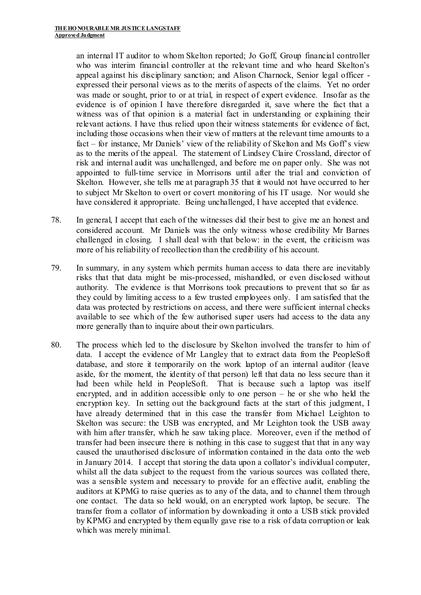an internal IT auditor to whom Skelton reported; Jo Goff, Group financial controller who was interim financial controller at the relevant time and who heard Skelton's appeal against his disciplinary sanction; and Alison Charnock, Senior legal officer expressed their personal views as to the merits of aspects of the claims. Yet no order was made or sought, prior to or at trial, in respect of expert evidence. Insofar as the evidence is of opinion I have therefore disregarded it, save where the fact that a witness was of that opinion is a material fact in understanding or explaining their relevant actions. I have thus relied upon their witness statements for evidence of fact, including those occasions when their view of matters at the relevant time amounts to a fact – for instance, Mr Daniels' view of the reliability of Skelton and Ms Goff's view as to the merits of the appeal. The statement of Lindsey Claire Crossland, director of risk and internal audit was unchallenged, and before me on paper only. She was not appointed to full-time service in Morrisons until after the trial and conviction of Skelton. However, she tells me at paragraph 35 that it would not have occurred to her to subject Mr Skelton to overt or covert monitoring of his IT usage. Nor would she have considered it appropriate. Being unchallenged, I have accepted that evidence.

- 78. In general, I accept that each of the witnesses did their best to give me an honest and considered account. Mr Daniels was the only witness whose credibility Mr Barnes challenged in closing. I shall deal with that below: in the event, the criticism was more of his reliability of recollection than the credibility of his account.
- 79. In summary, in any system which permits human access to data there are inevitably risks that that data might be mis-processed, mishandled, or even disclosed without authority. The evidence is that Morrisons took precautions to prevent that so far as they could by limiting access to a few trusted employees only. I am satisfied that the data was protected by restrictions on access, and there were sufficient internal checks available to see which of the few authorised super users had access to the data any more generally than to inquire about their own particulars.
- 80. The process which led to the disclosure by Skelton involved the transfer to him of data. I accept the evidence of Mr Langley that to extract data from the PeopleSoft database, and store it temporarily on the work laptop of an internal auditor (leave aside, for the moment, the identity of that person) left that data no less secure than it had been while held in PeopleSoft. That is because such a laptop was itself encrypted, and in addition accessible only to one person – he or she who held the encryption key. In setting out the background facts at the start of this judgment, I have already determined that in this case the transfer from Michael Leighton to Skelton was secure: the USB was encrypted, and Mr Leighton took the USB away with him after transfer, which he saw taking place. Moreover, even if the method of transfer had been insecure there is nothing in this case to suggest that that in any way caused the unauthorised disclosure of information contained in the data onto the web in January 2014. I accept that storing the data upon a collator's individual computer, whilst all the data subject to the request from the various sources was collated there, was a sensible system and necessary to provide for an effective audit, enabling the auditors at KPMG to raise queries as to any of the data, and to channel them through one contact. The data so held would, on an encrypted work laptop, be secure. The transfer from a collator of information by downloading it onto a USB stick provided by KPMG and encrypted by them equally gave rise to a risk of data corruption or leak which was merely minimal.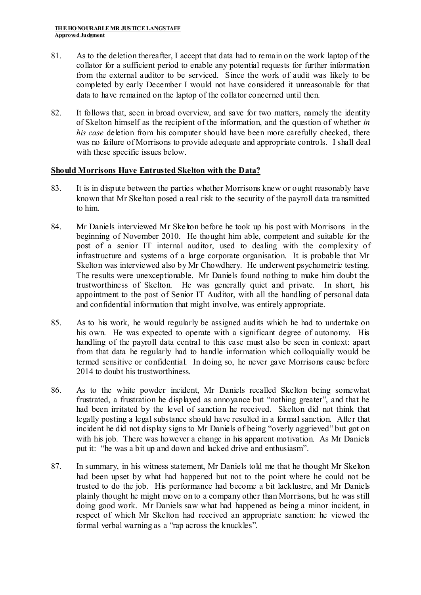- 81. As to the deletion thereafter, I accept that data had to remain on the work laptop of the collator for a sufficient period to enable any potential requests for further information from the external auditor to be serviced. Since the work of audit was likely to be completed by early December I would not have considered it unreasonable for that data to have remained on the laptop of the collator concerned until then.
- 82. It follows that, seen in broad overview, and save for two matters, namely the identity of Skelton himself as the recipient of the information, and the question of whether *in his case* deletion from his computer should have been more carefully checked, there was no failure of Morrisons to provide adequate and appropriate controls. I shall deal with these specific issues below.

# **Should Morrisons Have Entrusted Skelton with the Data?**

- 83. It is in dispute between the parties whether Morrisons knew or ought reasonably have known that Mr Skelton posed a real risk to the security of the payroll data transmitted to him.
- 84. Mr Daniels interviewed Mr Skelton before he took up his post with Morrisons in the beginning of November 2010. He thought him able, competent and suitable for the post of a senior IT internal auditor, used to dealing with the complexity of infrastructure and systems of a large corporate organisation. It is probable that Mr Skelton was interviewed also by Mr Chowdhery. He underwent psychometric testing. The results were unexceptionable. Mr Daniels found nothing to make him doubt the trustworthiness of Skelton. He was generally quiet and private. In short, his appointment to the post of Senior IT Auditor, with all the handling of personal data and confidential information that might involve, was entirely appropriate.
- 85. As to his work, he would regularly be assigned audits which he had to undertake on his own. He was expected to operate with a significant degree of autonomy. His handling of the payroll data central to this case must also be seen in context: apart from that data he regularly had to handle information which colloquially would be termed sensitive or confidential. In doing so, he never gave Morrisons cause before 2014 to doubt his trustworthiness.
- 86. As to the white powder incident, Mr Daniels recalled Skelton being somewhat frustrated, a frustration he displayed as annoyance but "nothing greater", and that he had been irritated by the level of sanction he received. Skelton did not think that legally posting a legal substance should have resulted in a formal sanction. After that incident he did not display signs to Mr Daniels of being "overly aggrieved" but got on with his job. There was however a change in his apparent motivation. As Mr Daniels put it: "he was a bit up and down and lacked drive and enthusiasm".
- 87. In summary, in his witness statement, Mr Daniels told me that he thought Mr Skelton had been upset by what had happened but not to the point where he could not be trusted to do the job. His performance had become a bit lacklustre, and Mr Daniels plainly thought he might move on to a company other than Morrisons, but he was still doing good work. Mr Daniels saw what had happened as being a minor incident, in respect of which Mr Skelton had received an appropriate sanction: he viewed the formal verbal warning as a "rap across the knuckles".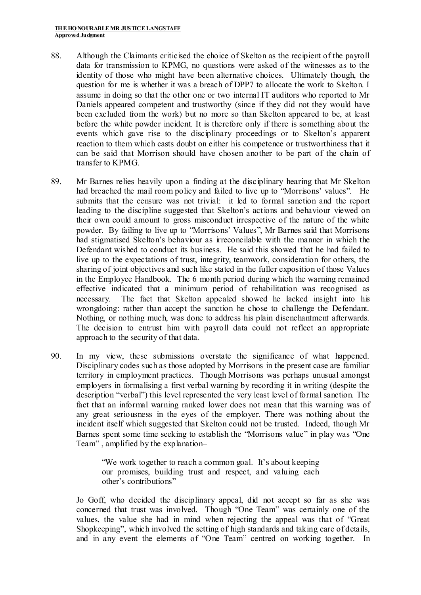- 88. Although the Claimants criticised the choice of Skelton as the recipient of the payroll data for transmission to KPMG, no questions were asked of the witnesses as to the identity of those who might have been alternative choices. Ultimately though, the question for me is whether it was a breach of DPP7 to allocate the work to Skelton. I assume in doing so that the other one or two internal IT auditors who reported to Mr Daniels appeared competent and trustworthy (since if they did not they would have been excluded from the work) but no more so than Skelton appeared to be, at least before the white powder incident. It is therefore only if there is something about the events which gave rise to the disciplinary proceedings or to Skelton's apparent reaction to them which casts doubt on either his competence or trustworthiness that it can be said that Morrison should have chosen another to be part of the chain of transfer to KPMG.
- 89. Mr Barnes relies heavily upon a finding at the disciplinary hearing that Mr Skelton had breached the mail room policy and failed to live up to "Morrisons' values". He submits that the censure was not trivial: it led to formal sanction and the report leading to the discipline suggested that Skelton's actions and behaviour viewed on their own could amount to gross misconduct irrespective of the nature of the white powder. By failing to live up to "Morrisons' Values", Mr Barnes said that Morrisons had stigmatised Skelton's behaviour as irreconcilable with the manner in which the Defendant wished to conduct its business. He said this showed that he had failed to live up to the expectations of trust, integrity, teamwork, consideration for others, the sharing of joint objectives and such like stated in the fuller exposition of those Values in the Employee Handbook. The 6 month period during which the warning remained effective indicated that a minimum period of rehabilitation was recognised as necessary. The fact that Skelton appealed showed he lacked insight into his wrongdoing: rather than accept the sanction he chose to challenge the Defendant. Nothing, or nothing much, was done to address his plain disenchantment afterwards. The decision to entrust him with payroll data could not reflect an appropriate approach to the security of that data.
- 90. In my view, these submissions overstate the significance of what happened. Disciplinary codes such as those adopted by Morrisons in the present case are familiar territory in employment practices. Though Morrisons was perhaps unusual amongst employers in formalising a first verbal warning by recording it in writing (despite the description "verbal") this level represented the very least level of formal sanction. The fact that an informal warning ranked lower does not mean that this warning was of any great seriousness in the eyes of the employer. There was nothing about the incident itself which suggested that Skelton could not be trusted. Indeed, though Mr Barnes spent some time seeking to establish the "Morrisons value" in play was "One Team" , amplified by the explanation–

"We work together to reach a common goal. It's about keeping our promises, building trust and respect, and valuing each other's contributions"

Jo Goff, who decided the disciplinary appeal, did not accept so far as she was concerned that trust was involved. Though "One Team" was certainly one of the values, the value she had in mind when rejecting the appeal was that of "Great Shopkeeping", which involved the setting of high standards and taking care of details, and in any event the elements of "One Team" centred on working together. In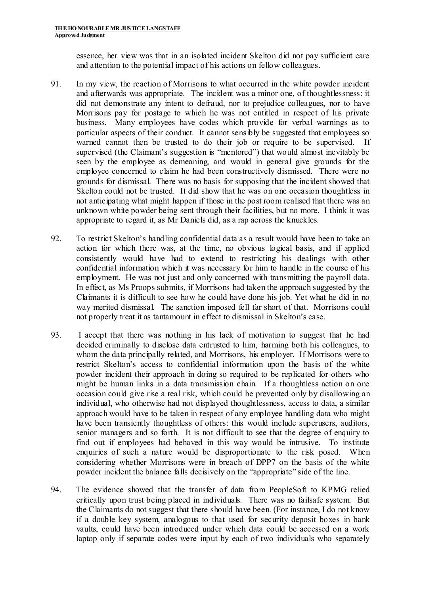essence, her view was that in an isolated incident Skelton did not pay sufficient care and attention to the potential impact of his actions on fellow colleagues.

- 91. In my view, the reaction of Morrisons to what occurred in the white powder incident and afterwards was appropriate. The incident was a minor one, of thoughtlessness: it did not demonstrate any intent to defraud, nor to prejudice colleagues, nor to have Morrisons pay for postage to which he was not entitled in respect of his private business. Many employees have codes which provide for verbal warnings as to particular aspects of their conduct. It cannot sensibly be suggested that employees so warned cannot then be trusted to do their job or require to be supervised. If warned cannot then be trusted to do their job or require to be supervised. supervised (the Claimant's suggestion is "mentored") that would almost inevitably be seen by the employee as demeaning, and would in general give grounds for the employee concerned to claim he had been constructively dismissed. There were no grounds for dismissal. There was no basis for supposing that the incident showed that Skelton could not be trusted. It did show that he was on one occasion thoughtless in not anticipating what might happen if those in the post room realised that there was an unknown white powder being sent through their facilities, but no more. I think it was appropriate to regard it, as Mr Daniels did, as a rap across the knuckles.
- 92. To restrict Skelton's handling confidential data as a result would have been to take an action for which there was, at the time, no obvious logical basis, and if applied consistently would have had to extend to restricting his dealings with other confidential information which it was necessary for him to handle in the course of his employment. He was not just and only concerned with transmitting the payroll data. In effect, as Ms Proops submits, if Morrisons had taken the approach suggested by the Claimants it is difficult to see how he could have done his job. Yet what he did in no way merited dismissal. The sanction imposed fell far short of that. Morrisons could not properly treat it as tantamount in effect to dismissal in Skelton's case.
- 93. I accept that there was nothing in his lack of motivation to suggest that he had decided criminally to disclose data entrusted to him, harming both his colleagues, to whom the data principally related, and Morrisons, his employer. If Morrisons were to restrict Skelton's access to confidential information upon the basis of the white powder incident their approach in doing so required to be replicated for others who might be human links in a data transmission chain. If a thoughtless action on one occasion could give rise a real risk, which could be prevented only by disallowing an individual, who otherwise had not displayed thoughtlessness, access to data, a similar approach would have to be taken in respect of any employee handling data who might have been transiently thoughtless of others: this would include superusers, auditors, senior managers and so forth. It is not difficult to see that the degree of enquiry to find out if employees had behaved in this way would be intrusive. To institute enquiries of such a nature would be disproportionate to the risk posed. When considering whether Morrisons were in breach of DPP7 on the basis of the white powder incident the balance falls decisively on the "appropriate" side of the line.
- 94. The evidence showed that the transfer of data from PeopleSoft to KPMG relied critically upon trust being placed in individuals. There was no failsafe system. But the Claimants do not suggest that there should have been. (For instance, I do not know if a double key system, analogous to that used for security deposit boxes in bank vaults, could have been introduced under which data could be accessed on a work laptop only if separate codes were input by each of two individuals who separately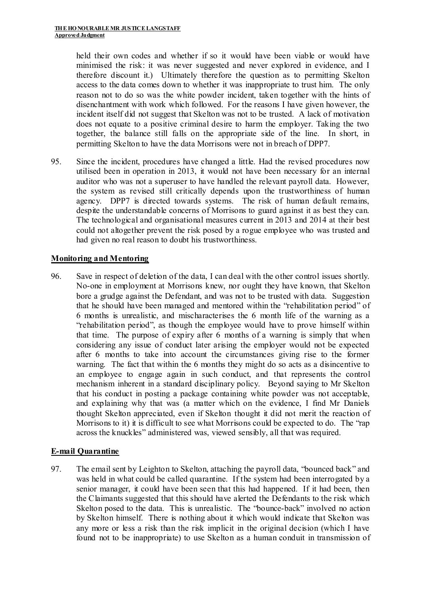held their own codes and whether if so it would have been viable or would have minimised the risk: it was never suggested and never explored in evidence, and I therefore discount it.) Ultimately therefore the question as to permitting Skelton access to the data comes down to whether it was inappropriate to trust him. The only reason not to do so was the white powder incident, taken together with the hints of disenchantment with work which followed. For the reasons I have given however, the incident itself did not suggest that Skelton was not to be trusted. A lack of motivation does not equate to a positive criminal desire to harm the employer. Taking the two together, the balance still falls on the appropriate side of the line. In short, in permitting Skelton to have the data Morrisons were not in breach of DPP7.

95. Since the incident, procedures have changed a little. Had the revised procedures now utilised been in operation in 2013, it would not have been necessary for an internal auditor who was not a superuser to have handled the relevant payroll data. However, the system as revised still critically depends upon the trustworthiness of human agency. DPP7 is directed towards systems. The risk of human default remains, despite the understandable concerns of Morrisons to guard against it as best they can. The technological and organisational measures current in 2013 and 2014 at their best could not altogether prevent the risk posed by a rogue employee who was trusted and had given no real reason to doubt his trustworthiness.

# **Monitoring and Mentoring**

96. Save in respect of deletion of the data, I can deal with the other control issues shortly. No-one in employment at Morrisons knew, nor ought they have known, that Skelton bore a grudge against the Defendant, and was not to be trusted with data. Suggestion that he should have been managed and mentored within the "rehabilitation period" of 6 months is unrealistic, and mischaracterises the 6 month life of the warning as a "rehabilitation period", as though the employee would have to prove himself within that time. The purpose of expiry after 6 months of a warning is simply that when considering any issue of conduct later arising the employer would not be expected after 6 months to take into account the circumstances giving rise to the former warning. The fact that within the 6 months they might do so acts as a disincentive to an employee to engage again in such conduct, and that represents the control mechanism inherent in a standard disciplinary policy. Beyond saying to Mr Skelton that his conduct in posting a package containing white powder was not acceptable, and explaining why that was (a matter which on the evidence, I find Mr Daniels thought Skelton appreciated, even if Skelton thought it did not merit the reaction of Morrisons to it) it is difficult to see what Morrisons could be expected to do. The "rap across the knuckles" administered was, viewed sensibly, all that was required.

# **E-mail Quarantine**

97. The email sent by Leighton to Skelton, attaching the payroll data, "bounced back" and was held in what could be called quarantine. If the system had been interrogated by a senior manager, it could have been seen that this had happened. If it had been, then the Claimants suggested that this should have alerted the Defendants to the risk which Skelton posed to the data. This is unrealistic. The "bounce-back" involved no action by Skelton himself. There is nothing about it which would indicate that Skelton was any more or less a risk than the risk implicit in the original decision (which I have found not to be inappropriate) to use Skelton as a human conduit in transmission of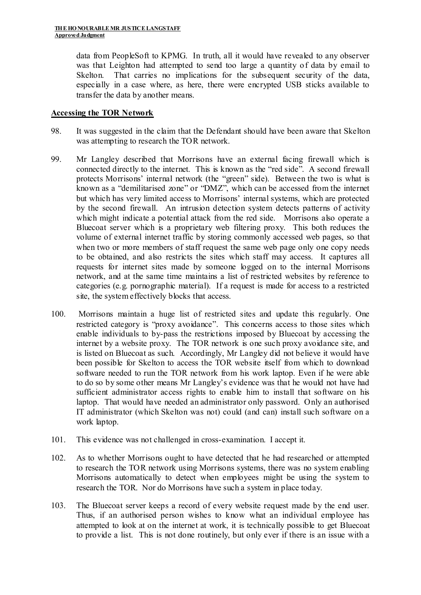data from PeopleSoft to KPMG. In truth, all it would have revealed to any observer was that Leighton had attempted to send too large a quantity of data by email to Skelton. That carries no implications for the subsequent security of the data, especially in a case where, as here, there were encrypted USB sticks available to transfer the data by another means.

#### **Accessing the TOR Network**

- 98. It was suggested in the claim that the Defendant should have been aware that Skelton was attempting to research the TOR network.
- 99. Mr Langley described that Morrisons have an external facing firewall which is connected directly to the internet. This is known as the "red side". A second firewall protects Morrisons' internal network (the "green" side). Between the two is what is known as a "demilitarised zone" or "DMZ", which can be accessed from the internet but which has very limited access to Morrisons' internal systems, which are protected by the second firewall. An intrusion detection system detects patterns of activity which might indicate a potential attack from the red side. Morrisons also operate a Bluecoat server which is a proprietary web filtering proxy. This both reduces the volume of external internet traffic by storing commonly accessed web pages, so that when two or more members of staff request the same web page only one copy needs to be obtained, and also restricts the sites which staff may access. It captures all requests for internet sites made by someone logged on to the internal Morrisons network, and at the same time maintains a list of restricted websites by reference to categories (e.g. pornographic material). If a request is made for access to a restricted site, the system effectively blocks that access.
- 100. Morrisons maintain a huge list of restricted sites and update this regularly. One restricted category is "proxy avoidance". This concerns access to those sites which enable individuals to by-pass the restrictions imposed by Bluecoat by accessing the internet by a website proxy. The TOR network is one such proxy avoidance site, and is listed on Bluecoat as such. Accordingly, Mr Langley did not believe it would have been possible for Skelton to access the TOR website itself from which to download software needed to run the TOR network from his work laptop. Even if he were able to do so by some other means Mr Langley's evidence was that he would not have had sufficient administrator access rights to enable him to install that software on his laptop. That would have needed an administrator only password. Only an authorised IT administrator (which Skelton was not) could (and can) install such software on a work laptop.
- 101. This evidence was not challenged in cross-examination. I accept it.
- 102. As to whether Morrisons ought to have detected that he had researched or attempted to research the TOR network using Morrisons systems, there was no system enabling Morrisons automatically to detect when employees might be using the system to research the TOR. Nor do Morrisons have such a system in place today.
- 103. The Bluecoat server keeps a record of every website request made by the end user. Thus, if an authorised person wishes to know what an individual employee has attempted to look at on the internet at work, it is technically possible to get Bluecoat to provide a list. This is not done routinely, but only ever if there is an issue with a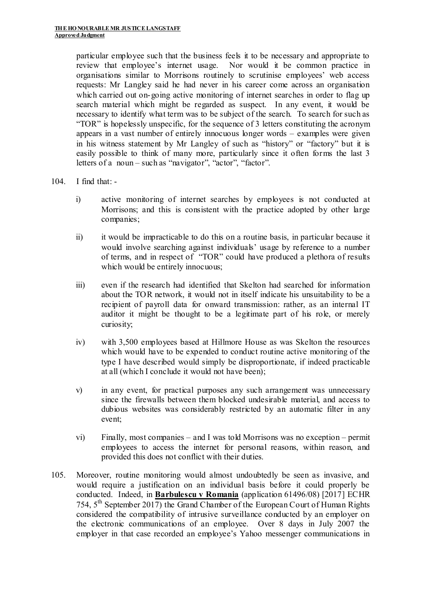particular employee such that the business feels it to be necessary and appropriate to review that employee's internet usage. Nor would it be common practice in organisations similar to Morrisons routinely to scrutinise employees' web access requests: Mr Langley said he had never in his career come across an organisation which carried out on-going active monitoring of internet searches in order to flag up search material which might be regarded as suspect. In any event, it would be necessary to identify what term was to be subject of the search. To search for such as "TOR" is hopelessly unspecific, for the sequence of 3 letters constituting the acronym appears in a vast number of entirely innocuous longer words – examples were given in his witness statement by Mr Langley of such as "history" or "factory" but it is easily possible to think of many more, particularly since it often forms the last 3 letters of a noun – such as "navigator", "actor", "factor".

- $104$  I find that:
	- i) active monitoring of internet searches by employees is not conducted at Morrisons; and this is consistent with the practice adopted by other large companies;
	- ii) it would be impracticable to do this on a routine basis, in particular because it would involve searching against individuals' usage by reference to a number of terms, and in respect of "TOR" could have produced a plethora of results which would be entirely innocuous;
	- iii) even if the research had identified that Skelton had searched for information about the TOR network, it would not in itself indicate his unsuitability to be a recipient of payroll data for onward transmission: rather, as an internal IT auditor it might be thought to be a legitimate part of his role, or merely curiosity;
	- iv) with 3,500 employees based at Hillmore House as was Skelton the resources which would have to be expended to conduct routine active monitoring of the type I have described would simply be disproportionate, if indeed practicable at all (which I conclude it would not have been);
	- v) in any event, for practical purposes any such arrangement was unnecessary since the firewalls between them blocked undesirable material, and access to dubious websites was considerably restricted by an automatic filter in any event;
	- vi) Finally, most companies and I was told Morrisons was no exception permit employees to access the internet for personal reasons, within reason, and provided this does not conflict with their duties.
- 105. Moreover, routine monitoring would almost undoubtedly be seen as invasive, and would require a justification on an individual basis before it could properly be conducted. Indeed, in **Barbulescu v Romania** (application 61496/08) [2017] ECHR 754, 5th September 2017) the Grand Chamber of the European Court of Human Rights considered the compatibility of intrusive surveillance conducted by an employer on the electronic communications of an employee. Over 8 days in July 2007 the employer in that case recorded an employee's Yahoo messenger communications in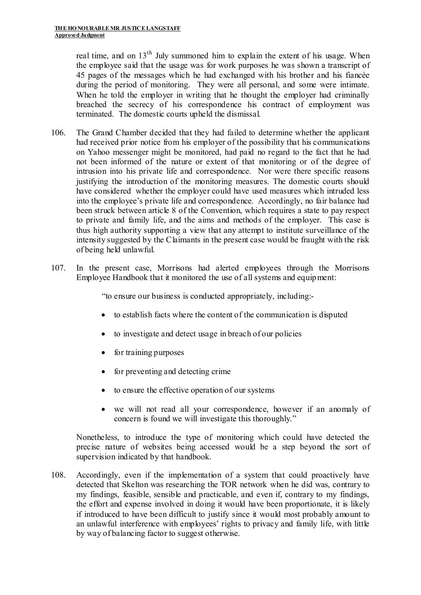real time, and on  $13<sup>th</sup>$  July summoned him to explain the extent of his usage. When the employee said that the usage was for work purposes he was shown a transcript of 45 pages of the messages which he had exchanged with his brother and his fiancée during the period of monitoring. They were all personal, and some were intimate. When he told the employer in writing that he thought the employer had criminally breached the secrecy of his correspondence his contract of employment was terminated. The domestic courts upheld the dismissal.

- 106. The Grand Chamber decided that they had failed to determine whether the applicant had received prior notice from his employer of the possibility that his communications on Yahoo messenger might be monitored, had paid no regard to the fact that he had not been informed of the nature or extent of that monitoring or of the degree of intrusion into his private life and correspondence. Nor were there specific reasons justifying the introduction of the monitoring measures. The domestic courts should have considered whether the employer could have used measures which intruded less into the employee's private life and correspondence. Accordingly, no fair balance had been struck between article 8 of the Convention, which requires a state to pay respect to private and family life, and the aims and methods of the employer. This case is thus high authority supporting a view that any attempt to institute surveillance of the intensity suggested by the Claimants in the present case would be fraught with the risk of being held unlawful.
- 107. In the present case, Morrisons had alerted employees through the Morrisons Employee Handbook that it monitored the use of all systems and equipment:

"to ensure our business is conducted appropriately, including:-

- to establish facts where the content of the communication is disputed
- to investigate and detect usage in breach of our policies
- for training purposes
- for preventing and detecting crime
- to ensure the effective operation of our systems
- we will not read all your correspondence, however if an anomaly of concern is found we will investigate this thoroughly."

Nonetheless, to introduce the type of monitoring which could have detected the precise nature of websites being accessed would be a step beyond the sort of supervision indicated by that handbook.

108. Accordingly, even if the implementation of a system that could proactively have detected that Skelton was researching the TOR network when he did was, contrary to my findings, feasible, sensible and practicable, and even if, contrary to my findings, the effort and expense involved in doing it would have been proportionate, it is likely if introduced to have been difficult to justify since it would most probably amount to an unlawful interference with employees' rights to privacy and family life, with little by way of balancing factor to suggest otherwise.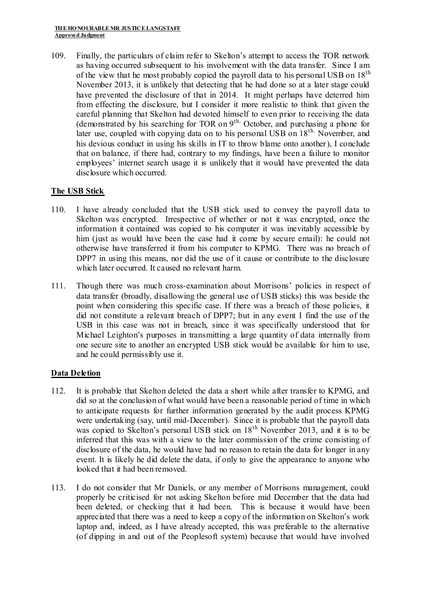109. Finally, the particulars of claim refer to Skelton's attempt to access the TOR network as having occurred subsequent to his involvement with the data transfer. Since I am of the view that he most probably copied the payroll data to his personal USB on 18<sup>th</sup> November 2013, it is unlikely that detecting that he had done so at a later stage could have prevented the disclosure of that in 2014. It might perhaps have deterred him from effecting the disclosure, but I consider it more realistic to think that given the careful planning that Skelton had devoted himself to even prior to receiving the data (demonstrated by his searching for TOR on 9th. October, and purchasing a phone for later use, coupled with copying data on to his personal USB on 18<sup>th.</sup> November, and his devious conduct in using his skills in IT to throw blame onto another), I conclude that on balance, if there had, contrary to my findings, have been a failure to monitor employees' internet search usage it is unlikely that it would have prevented the data disclosure which occurred.

# **The USB Stick**

- 110. I have already concluded that the USB stick used to convey the payroll data to Skelton was encrypted. Irrespective of whether or not it was encrypted, once the information it contained was copied to his computer it was inevitably accessible by him (just as would have been the case had it come by secure email): he could not otherwise have transferred it from his computer to KPMG. There was no breach of DPP7 in using this means, nor did the use of it cause or contribute to the disclosure which later occurred. It caused no relevant harm.
- 111. Though there was much cross-examination about Morrisons' policies in respect of data transfer (broadly, disallowing the general use of USB sticks) this was beside the point when considering this specific case. If there was a breach of those policies, it did not constitute a relevant breach of DPP7; but in any event I find the use of the USB in this case was not in breach, since it was specifically understood that for Michael Leighton's purposes in transmitting a large quantity of data internally from one secure site to another an encrypted USB stick would be available for him to use, and he could permissibly use it.

# **Data Deletion**

- 112. It is probable that Skelton deleted the data a short while after transfer to KPMG, and did so at the conclusion of what would have been a reasonable period of time in which to anticipate requests for further information generated by the audit process KPMG were undertaking (say, until mid-December). Since it is probable that the payroll data was copied to Skelton's personal USB stick on 18<sup>th</sup> November 2013, and it is to be inferred that this was with a view to the later commission of the crime consisting of disclosure of the data, he would have had no reason to retain the data for longer in any event. It is likely he did delete the data, if only to give the appearance to anyone who looked that it had been removed.
- 113. I do not consider that Mr Daniels, or any member of Morrisons management, could properly be criticised for not asking Skelton before mid December that the data had been deleted, or checking that it had been. This is because it would have been appreciated that there was a need to keep a copy of the information on Skelton's work laptop and, indeed, as I have already accepted, this was preferable to the alternative (of dipping in and out of the Peoplesoft system) because that would have involved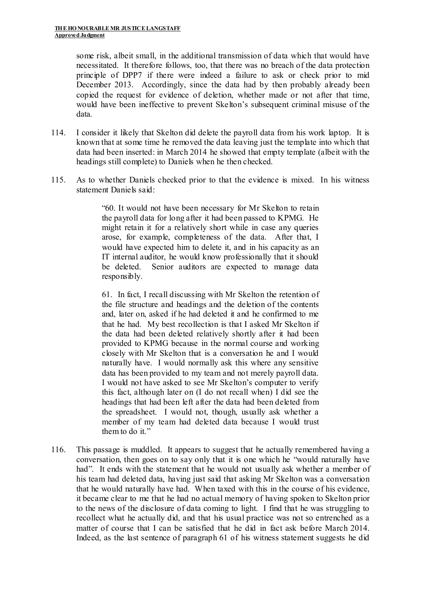some risk, albeit small, in the additional transmission of data which that would have necessitated. It therefore follows, too, that there was no breach of the data protection principle of DPP7 if there were indeed a failure to ask or check prior to mid December 2013. Accordingly, since the data had by then probably already been copied the request for evidence of deletion, whether made or not after that time, would have been ineffective to prevent Skelton's subsequent criminal misuse of the data.

- 114. I consider it likely that Skelton did delete the payroll data from his work laptop. It is known that at some time he removed the data leaving just the template into which that data had been inserted: in March 2014 he showed that empty template (albeit with the headings still complete) to Daniels when he then checked.
- 115. As to whether Daniels checked prior to that the evidence is mixed. In his witness statement Daniels said:

"60. It would not have been necessary for Mr Skelton to retain the payroll data for long after it had been passed to KPMG. He might retain it for a relatively short while in case any queries arose, for example, completeness of the data. After that, I would have expected him to delete it, and in his capacity as an IT internal auditor, he would know professionally that it should be deleted. Senior auditors are expected to manage data responsibly.

61. In fact, I recall discussing with Mr Skelton the retention of the file structure and headings and the deletion of the contents and, later on, asked if he had deleted it and he confirmed to me that he had. My best recollection is that I asked Mr Skelton if the data had been deleted relatively shortly after it had been provided to KPMG because in the normal course and working closely with Mr Skelton that is a conversation he and I would naturally have. I would normally ask this where any sensitive data has been provided to my team and not merely payroll data. I would not have asked to see Mr Skelton's computer to verify this fact, although later on (I do not recall when) I did see the headings that had been left after the data had been deleted from the spreadsheet. I would not, though, usually ask whether a member of my team had deleted data because I would trust them to do it."

116. This passage is muddled. It appears to suggest that he actually remembered having a conversation, then goes on to say only that it is one which he "would naturally have had". It ends with the statement that he would not usually ask whether a member of his team had deleted data, having just said that asking Mr Skelton was a conversation that he would naturally have had. When taxed with this in the course of his evidence, it became clear to me that he had no actual memory of having spoken to Skelton prior to the news of the disclosure of data coming to light. I find that he was struggling to recollect what he actually did, and that his usual practice was not so entrenched as a matter of course that I can be satisfied that he did in fact ask before March 2014. Indeed, as the last sentence of paragraph 61 of his witness statement suggests he did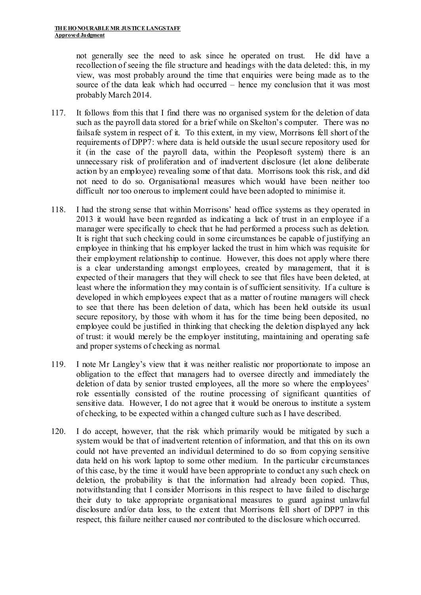not generally see the need to ask since he operated on trust. He did have a recollection of seeing the file structure and headings with the data deleted: this, in my view, was most probably around the time that enquiries were being made as to the source of the data leak which had occurred – hence my conclusion that it was most probably March 2014.

- 117. It follows from this that I find there was no organised system for the deletion of data such as the payroll data stored for a brief while on Skelton's computer. There was no failsafe system in respect of it. To this extent, in my view, Morrisons fell short of the requirements of DPP7: where data is held outside the usual secure repository used for it (in the case of the payroll data, within the Peoplesoft system) there is an unnecessary risk of proliferation and of inadvertent disclosure (let alone deliberate action by an employee) revealing some of that data. Morrisons took this risk, and did not need to do so. Organisational measures which would have been neither too difficult nor too onerous to implement could have been adopted to minimise it.
- 118. I had the strong sense that within Morrisons' head office systems as they operated in 2013 it would have been regarded as indicating a lack of trust in an employee if a manager were specifically to check that he had performed a process such as deletion. It is right that such checking could in some circumstances be capable of justifying an employee in thinking that his employer lacked the trust in him which was requisite for their employment relationship to continue. However, this does not apply where there is a clear understanding amongst employees, created by management, that it is expected of their managers that they will check to see that files have been deleted, at least where the information they may contain is of sufficient sensitivity. If a culture is developed in which employees expect that as a matter of routine managers will check to see that there has been deletion of data, which has been held outside its usual secure repository, by those with whom it has for the time being been deposited, no employee could be justified in thinking that checking the deletion displayed any lack of trust: it would merely be the employer instituting, maintaining and operating safe and proper systems of checking as normal.
- 119. I note Mr Langley's view that it was neither realistic nor proportionate to impose an obligation to the effect that managers had to oversee directly and immediately the deletion of data by senior trusted employees, all the more so where the employees' role essentially consisted of the routine processing of significant quantities of sensitive data. However, I do not agree that it would be onerous to institute a system of checking, to be expected within a changed culture such as I have described.
- 120. I do accept, however, that the risk which primarily would be mitigated by such a system would be that of inadvertent retention of information, and that this on its own could not have prevented an individual determined to do so from copying sensitive data held on his work laptop to some other medium. In the particular circumstances of this case, by the time it would have been appropriate to conduct any such check on deletion, the probability is that the information had already been copied. Thus, notwithstanding that I consider Morrisons in this respect to have failed to discharge their duty to take appropriate organisational measures to guard against unlawful disclosure and/or data loss, to the extent that Morrisons fell short of DPP7 in this respect, this failure neither caused nor contributed to the disclosure which occurred.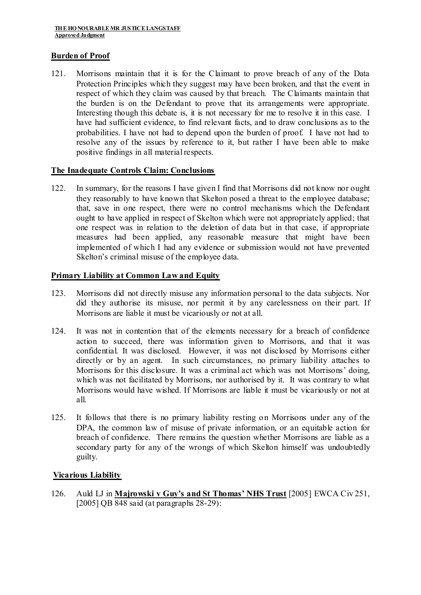# **Burden of Proof**

121. Morrisons maintain that it is for the Claimant to prove breach of any of the Data Protection Principles which they suggest may have been broken, and that the event in respect of which they claim was caused by that breach. The Claimants maintain that the burden is on the Defendant to prove that its arrangements were appropriate. Interesting though this debate is, it is not necessary for me to resolve it in this case. I have had sufficient evidence, to find relevant facts, and to draw conclusions as to the probabilities. I have not had to depend upon the burden of proof. I have not had to resolve any of the issues by reference to it, but rather I have been able to make positive findings in all material respects.

# **The Inadequate Controls Claim: Conclusions**

122. In summary, for the reasons I have given I find that Morrisons did not know nor ought they reasonably to have known that Skelton posed a threat to the employee database; that, save in one respect, there were no control mechanisms which the Defendant ought to have applied in respect of Skelton which were not appropriately applied; that one respect was in relation to the deletion of data but in that case, if appropriate measures had been applied, any reasonable measure that might have been implemented of which I had any evidence or submission would not have prevented Skelton's criminal misuse of the employee data.

# **Primary Liability at Common Law and Equity**

- 123. Morrisons did not directly misuse any information personal to the data subjects. Nor did they authorise its misuse, nor permit it by any carelessness on their part. If Morrisons are liable it must be vicariously or not at all.
- 124. It was not in contention that of the elements necessary for a breach of confidence action to succeed, there was information given to Morrisons, and that it was confidential. It was disclosed. However, it was not disclosed by Morrisons either directly or by an agent. In such circumstances, no primary liability attaches to Morrisons for this disclosure. It was a criminal act which was not Morrisons' doing, which was not facilitated by Morrisons, nor authorised by it. It was contrary to what Morrisons would have wished. If Morrisons are liable it must be vicariously or not at all.
- 125. It follows that there is no primary liability resting on Morrisons under any of the DPA, the common law of misuse of private information, or an equitable action for breach of confidence. There remains the question whether Morrisons are liable as a secondary party for any of the wrongs of which Skelton himself was undoubtedly guilty.

# **Vicarious Liability**

126. Auld LJ in **Majrowski v Guy's and St Thomas' NHS Trust** [2005] EWCA Civ 251, [2005] QB 848 said (at paragraphs 28-29):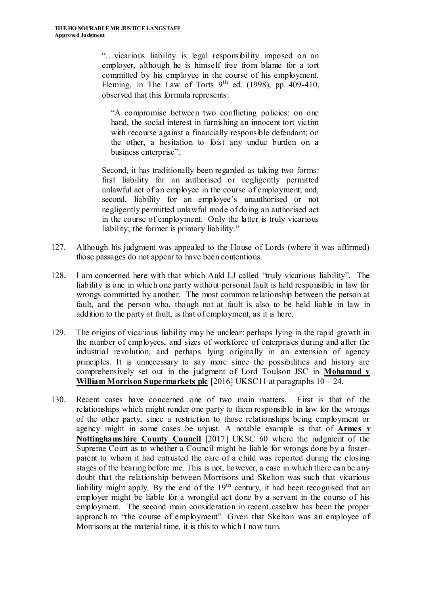"…vicarious liability is legal responsibility imposed on an employer, although he is himself free from blame for a tort committed by his employee in the course of his employment. Fleming, in The Law of Torts  $9<sup>th</sup>$  ed. (1998), pp 409-410, observed that this formula represents:

"A compromise between two conflicting policies: on one hand, the social interest in furnishing an innocent tort victim with recourse against a financially responsible defendant; on the other, a hesitation to foist any undue burden on a business enterprise".

Second, it has traditionally been regarded as taking two forms: first liability for an authorised or negligently permitted unlawful act of an employee in the course of employment; and, second, liability for an employee's unauthorised or not negligently permitted unlawful mode of doing an authorised act in the course of employment. Only the latter is truly vicarious liability; the former is primary liability."

- 127. Although his judgment was appealed to the House of Lords (where it was affirmed) those passages do not appear to have been contentious.
- 128. I am concerned here with that which Auld LJ called "truly vicarious liability". The liability is one in which one party without personal fault is held responsible in law for wrongs committed by another. The most common relationship between the person at fault, and the person who, though not at fault is also to be held liable in law in addition to the party at fault, is that of employment, as it is here.
- 129. The origins of vicarious liability may be unclear: perhaps lying in the rapid growth in the number of employees, and sizes of workforce of enterprises during and after the industrial revolution, and perhaps lying originally in an extension of agency principles. It is unnecessary to say more since the possibilities and history are comprehensively set out in the judgment of Lord Toulson JSC in **Mohamud v William Morrison Supermarkets plc** [2016] UKSC11 at paragraphs 10 – 24.
- 130. Recent cases have concerned one of two main matters. First is that of the relationships which might render one party to them responsible in law for the wrongs of the other party, since a restriction to those relationships being employment or agency might in some cases be unjust. A notable example is that of **Armes v Nottinghamshire County Council** [2017] UKSC 60 where the judgment of the Supreme Court as to whether a Council might be liable for wrongs done by a fosterparent to whom it had entrusted the care of a child was reported during the closing stages of the hearing before me. This is not, however, a case in which there can be any doubt that the relationship between Morrisons and Skelton was such that vicarious liability might apply. By the end of the  $19<sup>th</sup>$  century, it had been recognised that an employer might be liable for a wrongful act done by a servant in the course of his employment. The second main consideration in recent caselaw has been the proper approach to "the course of employment". Given that Skelton was an employee of Morrisons at the material time, it is this to which I now turn.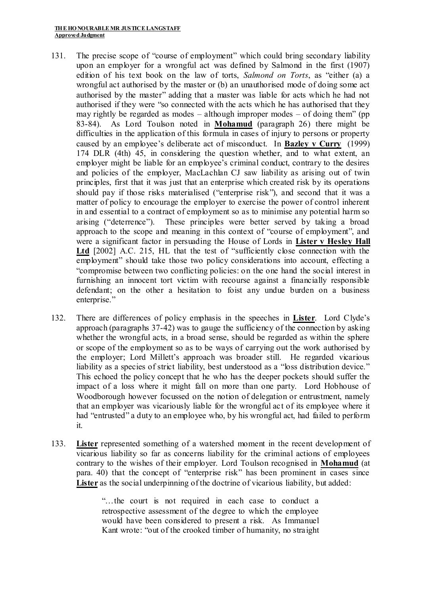- 131. The precise scope of "course of employment" which could bring secondary liability upon an employer for a wrongful act was defined by Salmond in the first (1907) edition of his text book on the law of torts, *Salmond on Torts*, as "either (a) a wrongful act authorised by the master or (b) an unauthorised mode of doing some act authorised by the master" adding that a master was liable for acts which he had not authorised if they were "so connected with the acts which he has authorised that they may rightly be regarded as modes – although improper modes – of doing them" (pp 83-84). As Lord Toulson noted in **Mohamud** (paragraph 26) there might be difficulties in the application of this formula in cases of injury to persons or property caused by an employee's deliberate act of misconduct. In **Bazley v Curry** (1999) 174 DLR (4th) 45, in considering the question whether, and to what extent, an employer might be liable for an employee's criminal conduct, contrary to the desires and policies of the employer, MacLachlan CJ saw liability as arising out of twin principles, first that it was just that an enterprise which created risk by its operations should pay if those risks materialised ("enterprise risk"), and second that it was a matter of policy to encourage the employer to exercise the power of control inherent in and essential to a contract of employment so as to minimise any potential harm so arising ("deterrence"). These principles were better served by taking a broad approach to the scope and meaning in this context of "course of employment", and were a significant factor in persuading the House of Lords in **Lister v Hesley Hall**  Ltd<sub>[2002]</sub> A.C. 215, HL that the test of "sufficiently close connection with the employment" should take those two policy considerations into account, effecting a "compromise between two conflicting policies: on the one hand the social interest in furnishing an innocent tort victim with recourse against a financially responsible defendant; on the other a hesitation to foist any undue burden on a business enterprise."
- 132. There are differences of policy emphasis in the speeches in **Lister**. Lord Clyde's approach (paragraphs 37-42) was to gauge the sufficiency of the connection by asking whether the wrongful acts, in a broad sense, should be regarded as within the sphere or scope of the employment so as to be ways of carrying out the work authorised by the employer; Lord Millett's approach was broader still. He regarded vicarious liability as a species of strict liability, best understood as a "loss distribution device." This echoed the policy concept that he who has the deeper pockets should suffer the impact of a loss where it might fall on more than one party. Lord Hobhouse of Woodborough however focussed on the notion of delegation or entrustment, namely that an employer was vicariously liable for the wrongful act of its employee where it had "entrusted" a duty to an employee who, by his wrongful act, had failed to perform it.
- 133. **Lister** represented something of a watershed moment in the recent development of vicarious liability so far as concerns liability for the criminal actions of employees contrary to the wishes of their employer. Lord Toulson recognised in **Mohamud** (at para. 40) that the concept of "enterprise risk" has been prominent in cases since Lister as the social underpinning of the doctrine of vicarious liability, but added:

"…the court is not required in each case to conduct a retrospective assessment of the degree to which the employee would have been considered to present a risk. As Immanuel Kant wrote: "out of the crooked timber of humanity, no straight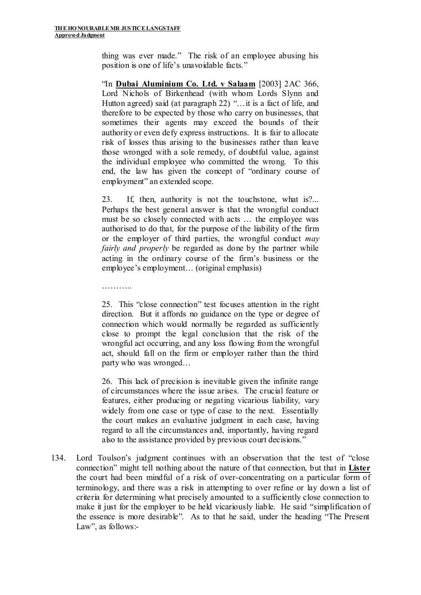…………

thing was ever made." The risk of an employee abusing his position is one of life's unavoidable facts."

"In **Dubai Aluminium Co. Ltd. v Salaam** [2003] 2AC 366, Lord Nichols of Birkenhead (with whom Lords Slynn and Hutton agreed) said (at paragraph 22) "…it is a fact of life, and therefore to be expected by those who carry on businesses, that sometimes their agents may exceed the bounds of their authority or even defy express instructions. It is fair to allocate risk of losses thus arising to the businesses rather than leave those wronged with a sole remedy, of doubtful value, against the individual employee who committed the wrong. To this end, the law has given the concept of "ordinary course of employment" an extended scope.

23. If, then, authority is not the touchstone, what is?... Perhaps the best general answer is that the wrongful conduct must be so closely connected with acts … the employee was authorised to do that, for the purpose of the liability of the firm or the employer of third parties, the wrongful conduct *may fairly and properly* be regarded as done by the partner while acting in the ordinary course of the firm's business or the employee's employment… (original emphasis)

25. This "close connection" test focuses attention in the right direction. But it affords no guidance on the type or degree of connection which would normally be regarded as sufficiently close to prompt the legal conclusion that the risk of the wrongful act occurring, and any loss flowing from the wrongful act, should fall on the firm or employer rather than the third party who was wronged…

26. This lack of precision is inevitable given the infinite range of circumstances where the issue arises. The crucial feature or features, either producing or negating vicarious liability, vary widely from one case or type of case to the next. Essentially the court makes an evaluative judgment in each case, having regard to all the circumstances and, importantly, having regard also to the assistance provided by previous court decisions."

134. Lord Toulson's judgment continues with an observation that the test of "close connection" might tell nothing about the nature of that connection, but that in **Lister** the court had been mindful of a risk of over-concentrating on a particular form of terminology, and there was a risk in attempting to over refine or lay down a list of criteria for determining what precisely amounted to a sufficiently close connection to make it just for the employer to be held vicariously liable. He said "simplification of the essence is more desirable". As to that he said, under the heading "The Present Law", as follows:-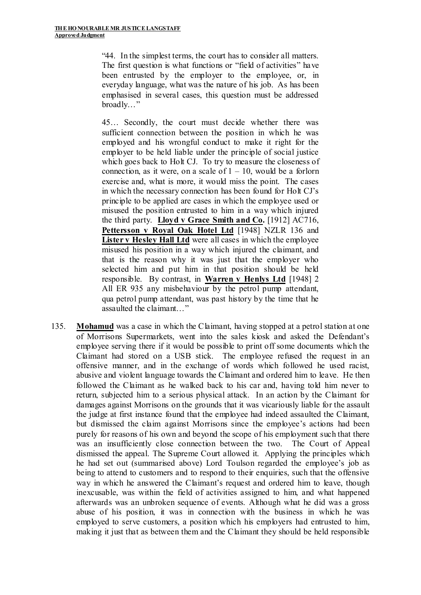"44. In the simplest terms, the court has to consider all matters. The first question is what functions or "field of activities" have been entrusted by the employer to the employee, or, in everyday language, what was the nature of his job. As has been emphasised in several cases, this question must be addressed broadly…"

45… Secondly, the court must decide whether there was sufficient connection between the position in which he was employed and his wrongful conduct to make it right for the employer to be held liable under the principle of social justice which goes back to Holt CJ. To try to measure the closeness of connection, as it were, on a scale of  $1 - 10$ , would be a forlorn exercise and, what is more, it would miss the point. The cases in which the necessary connection has been found for Holt CJ's principle to be applied are cases in which the employee used or misused the position entrusted to him in a way which injured the third party. **Lloyd v Grace Smith and Co.** [1912] AC716, **Pettersson v Royal Oak Hotel Ltd** [1948] NZLR 136 and **Lister v Hesley Hall Ltd** were all cases in which the employee misused his position in a way which injured the claimant, and that is the reason why it was just that the employer who selected him and put him in that position should be held responsible. By contrast, in **Warren v Henlys Ltd** [1948] 2 All ER 935 any misbehaviour by the petrol pump attendant, qua petrol pump attendant, was past history by the time that he assaulted the claimant…"

135. **Mohamud** was a case in which the Claimant, having stopped at a petrol station at one of Morrisons Supermarkets, went into the sales kiosk and asked the Defendant's employee serving there if it would be possible to print off some documents which the Claimant had stored on a USB stick. The employee refused the request in an offensive manner, and in the exchange of words which followed he used racist, abusive and violent language towards the Claimant and ordered him to leave. He then followed the Claimant as he walked back to his car and, having told him never to return, subjected him to a serious physical attack. In an action by the Claimant for damages against Morrisons on the grounds that it was vicariously liable for the assault the judge at first instance found that the employee had indeed assaulted the Claimant, but dismissed the claim against Morrisons since the employee's actions had been purely for reasons of his own and beyond the scope of his employment such that there was an insufficiently close connection between the two. The Court of Appeal dismissed the appeal. The Supreme Court allowed it. Applying the principles which he had set out (summarised above) Lord Toulson regarded the employee's job as being to attend to customers and to respond to their enquiries, such that the offensive way in which he answered the Claimant's request and ordered him to leave, though inexcusable, was within the field of activities assigned to him, and what happened afterwards was an unbroken sequence of events. Although what he did was a gross abuse of his position, it was in connection with the business in which he was employed to serve customers, a position which his employers had entrusted to him, making it just that as between them and the Claimant they should be held responsible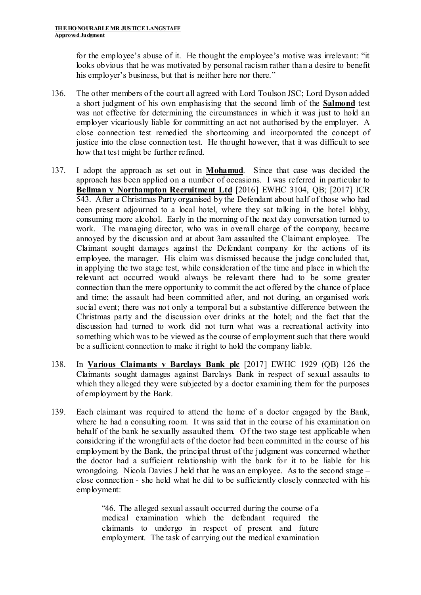for the employee's abuse of it. He thought the employee's motive was irrelevant: "it looks obvious that he was motivated by personal racism rather than a desire to benefit his employer's business, but that is neither here nor there."

- 136. The other members of the court all agreed with Lord Toulson JSC; Lord Dyson added a short judgment of his own emphasising that the second limb of the **Salmond** test was not effective for determining the circumstances in which it was just to hold an employer vicariously liable for committing an act not authorised by the employer. A close connection test remedied the shortcoming and incorporated the concept of justice into the close connection test. He thought however, that it was difficult to see how that test might be further refined.
- 137. I adopt the approach as set out in **Mohamud**. Since that case was decided the approach has been applied on a number of occasions. I was referred in particular to **Bellman v Northampton Recruitment Ltd** [2016] EWHC 3104, QB; [2017] ICR 543. After a Christmas Party organised by the Defendant about half of those who had been present adjourned to a local hotel, where they sat talking in the hotel lobby, consuming more alcohol. Early in the morning of the next day conversation turned to work. The managing director, who was in overall charge of the company, became annoyed by the discussion and at about 3am assaulted the Claimant employee. The Claimant sought damages against the Defendant company for the actions of its employee, the manager. His claim was dismissed because the judge concluded that, in applying the two stage test, while consideration of the time and place in which the relevant act occurred would always be relevant there had to be some greater connection than the mere opportunity to commit the act offered by the chance of place and time; the assault had been committed after, and not during, an organised work social event; there was not only a temporal but a substantive difference between the Christmas party and the discussion over drinks at the hotel; and the fact that the discussion had turned to work did not turn what was a recreational activity into something which was to be viewed as the course of employment such that there would be a sufficient connection to make it right to hold the company liable.
- 138. In **Various Claimants v Barclays Bank plc** [2017] EWHC 1929 (QB) 126 the Claimants sought damages against Barclays Bank in respect of sexual assaults to which they alleged they were subjected by a doctor examining them for the purposes of employment by the Bank.
- 139. Each claimant was required to attend the home of a doctor engaged by the Bank, where he had a consulting room. It was said that in the course of his examination on behalf of the bank he sexually assaulted them. Of the two stage test applicable when considering if the wrongful acts of the doctor had been committed in the course of his employment by the Bank, the principal thrust of the judgment was concerned whether the doctor had a sufficient relationship with the bank for it to be liable for his wrongdoing. Nicola Davies J held that he was an employee. As to the second stage – close connection - she held what he did to be sufficiently closely connected with his employment:

"46. The alleged sexual assault occurred during the course of a medical examination which the defendant required the claimants to undergo in respect of present and future employment. The task of carrying out the medical examination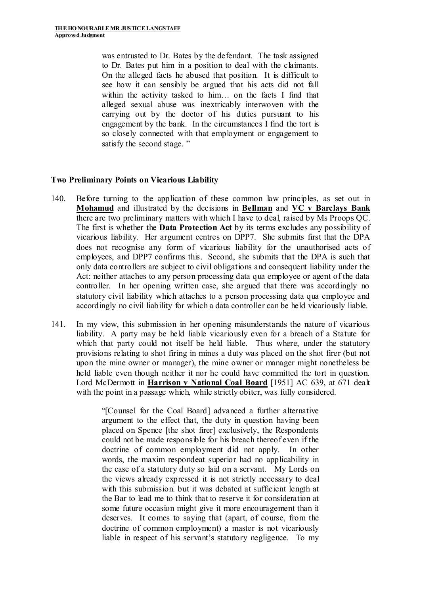was entrusted to Dr. Bates by the defendant. The task assigned to Dr. Bates put him in a position to deal with the claimants. On the alleged facts he abused that position. It is difficult to see how it can sensibly be argued that his acts did not fall within the activity tasked to him… on the facts I find that alleged sexual abuse was inextricably interwoven with the carrying out by the doctor of his duties pursuant to his engagement by the bank. In the circumstances I find the tort is so closely connected with that employment or engagement to satisfy the second stage."

# **Two Preliminary Points on Vicarious Liability**

- 140. Before turning to the application of these common law principles, as set out in **Mohamud** and illustrated by the decisions in **Bellman** and **VC v Barclays Bank** there are two preliminary matters with which I have to deal, raised by Ms Proops QC. The first is whether the **Data Protection Act** by its terms excludes any possibility of vicarious liability. Her argument centres on DPP7. She submits first that the DPA does not recognise any form of vicarious liability for the unauthorised acts of employees, and DPP7 confirms this. Second, she submits that the DPA is such that only data controllers are subject to civil obligations and consequent liability under the Act: neither attaches to any person processing data qua employee or agent of the data controller. In her opening written case, she argued that there was accordingly no statutory civil liability which attaches to a person processing data qua employee and accordingly no civil liability for which a data controller can be held vicariously liable.
- 141. In my view, this submission in her opening misunderstands the nature of vicarious liability. A party may be held liable vicariously even for a breach of a Statute for which that party could not itself be held liable. Thus where, under the statutory provisions relating to shot firing in mines a duty was placed on the shot firer (but not upon the mine owner or manager), the mine owner or manager might nonetheless be held liable even though neither it nor he could have committed the tort in question. Lord McDermott in **Harrison v National Coal Board** [1951] AC 639, at 671 dealt with the point in a passage which, while strictly obiter, was fully considered.

"[Counsel for the Coal Board] advanced a further alternative argument to the effect that, the duty in question having been placed on Spence [the shot firer] exclusively, the Respondents could not be made responsible for his breach thereof even if the doctrine of common employment did not apply. In other words, the maxim respondeat superior had no applicability in the case of a statutory duty so laid on a servant. My Lords on the views already expressed it is not strictly necessary to deal with this submission, but it was debated at sufficient length at the Bar to lead me to think that to reserve it for consideration at some future occasion might give it more encouragement than it deserves. It comes to saying that (apart, of course, from the doctrine of common employment) a master is not vicariously liable in respect of his servant's statutory negligence. To my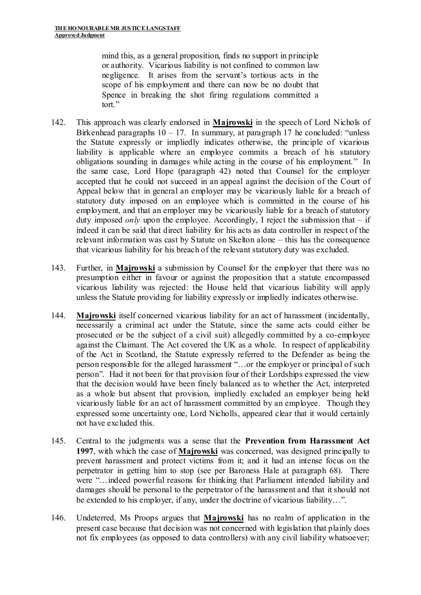mind this, as a general proposition, finds no support in principle or authority. Vicarious liability is not confined to common law negligence. It arises from the servant's tortious acts in the scope of his employment and there can now be no doubt that Spence in breaking the shot firing regulations committed a tort."

- 142. This approach was clearly endorsed in **Majrowski** in the speech of Lord Nichols of Birkenhead paragraphs  $10 - 17$ . In summary, at paragraph 17 he concluded: "unless" the Statute expressly or impliedly indicates otherwise, the principle of vicarious liability is applicable where an employee commits a breach of his statutory obligations sounding in damages while acting in the course of his employment. " In the same case, Lord Hope (paragraph 42) noted that Counsel for the employer accepted that he could not succeed in an appeal against the decision of the Court of Appeal below that in general an employer may be vicariously liable for a breach of statutory duty imposed on an employee which is committed in the course of his employment, and that an employer may be vicariously liable for a breach of statutory duty imposed *only* upon the employee. Accordingly, I reject the submission that – if indeed it can be said that direct liability for his acts as data controller in respect of the relevant information was cast by Statute on Skelton alone – this has the consequence that vicarious liability for his breach of the relevant statutory duty was excluded.
- 143. Further, in **Majrowski** a submission by Counsel for the employer that there was no presumption either in favour or against the proposition that a statute encompassed vicarious liability was rejected: the House held that vicarious liability will apply unless the Statute providing for liability expressly or impliedly indicates otherwise.
- 144. **Majrowski** itself concerned vicarious liability for an act of harassment (incidentally, necessarily a criminal act under the Statute, since the same acts could either be prosecuted or be the subject of a civil suit) allegedly committed by a co-employee against the Claimant. The Act covered the UK as a whole. In respect of applicability of the Act in Scotland, the Statute expressly referred to the Defender as being the person responsible for the alleged harassment "…or the employer or principal of such person". Had it not been for that provision four of their Lordships expressed the view that the decision would have been finely balanced as to whether the Act, interpreted as a whole but absent that provision, impliedly excluded an employer being held vicariously liable for an act of harassment committed by an employee. Though they expressed some uncertainty one, Lord Nicholls, appeared clear that it would certainly not have excluded this.
- 145. Central to the judgments was a sense that the **Prevention from Harassment Act 1997**, with which the case of **Majrowski** was concerned, was designed principally to prevent harassment and protect victims from it; and it had an intense focus on the perpetrator in getting him to stop (see per Baroness Hale at paragraph 68). There were "…indeed powerful reasons for thinking that Parliament intended liability and damages should be personal to the perpetrator of the harassment and that it should not be extended to his employer, if any, under the doctrine of vicarious liability…".
- 146. Undeterred, Ms Proops argues that **Majrowski** has no realm of application in the present case because that decision was not concerned with legislation that plainly does not fix employees (as opposed to data controllers) with any civil liability whatsoever;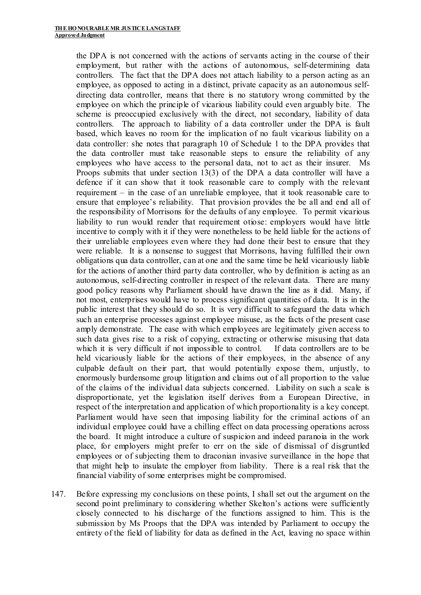the DPA is not concerned with the actions of servants acting in the course of their employment, but rather with the actions of autonomous, self-determining data controllers. The fact that the DPA does not attach liability to a person acting as an employee, as opposed to acting in a distinct, private capacity as an autonomous selfdirecting data controller, means that there is no statutory wrong committed by the employee on which the principle of vicarious liability could even arguably bite. The scheme is preoccupied exclusively with the direct, not secondary, liability of data controllers. The approach to liability of a data controller under the DPA is fault based, which leaves no room for the implication of no fault vicarious liability on a data controller: she notes that paragraph 10 of Schedule 1 to the DPA provides that the data controller must take reasonable steps to ensure the reliability of any employees who have access to the personal data, not to act as their insurer. Ms Proops submits that under section 13(3) of the DPA a data controller will have a defence if it can show that it took reasonable care to comply with the relevant requirement – in the case of an unreliable employee, that it took reasonable care to ensure that employee's reliability. That provision provides the be all and end all of the responsibility of Morrisons for the defaults of any employee. To permit vicarious liability to run would render that requirement otiose: employers would have little incentive to comply with it if they were nonetheless to be held liable for the actions of their unreliable employees even where they had done their best to ensure that they were reliable. It is a nonsense to suggest that Morrisons, having fulfilled their own obligations qua data controller, can at one and the same time be held vicariously liable for the actions of another third party data controller, who by definition is acting as an autonomous, self-directing controller in respect of the relevant data. There are many good policy reasons why Parliament should have drawn the line as it did. Many, if not most, enterprises would have to process significant quantities of data. It is in the public interest that they should do so. It is very difficult to safeguard the data which such an enterprise processes against employee misuse, as the facts of the present case amply demonstrate. The ease with which employees are legitimately given access to such data gives rise to a risk of copying, extracting or otherwise misusing that data which it is very difficult if not impossible to control. If data controllers are to be held vicariously liable for the actions of their employees, in the absence of any culpable default on their part, that would potentially expose them, unjustly, to enormously burdensome group litigation and claims out of all proportion to the value of the claims of the individual data subjects concerned. Liability on such a scale is disproportionate, yet the legislation itself derives from a European Directive, in respect of the interpretation and application of which proportionality is a key concept. Parliament would have seen that imposing liability for the criminal actions of an individual employee could have a chilling effect on data processing operations across the board. It might introduce a culture of suspicion and indeed paranoia in the work place, for employers might prefer to err on the side of dismissal of disgruntled employees or of subjecting them to draconian invasive surveillance in the hope that that might help to insulate the employer from liability. There is a real risk that the financial viability of some enterprises might be compromised.

147. Before expressing my conclusions on these points, I shall set out the argument on the second point preliminary to considering whether Skelton's actions were sufficiently closely connected to his discharge of the functions assigned to him. This is the submission by Ms Proops that the DPA was intended by Parliament to occupy the entirety of the field of liability for data as defined in the Act, leaving no space within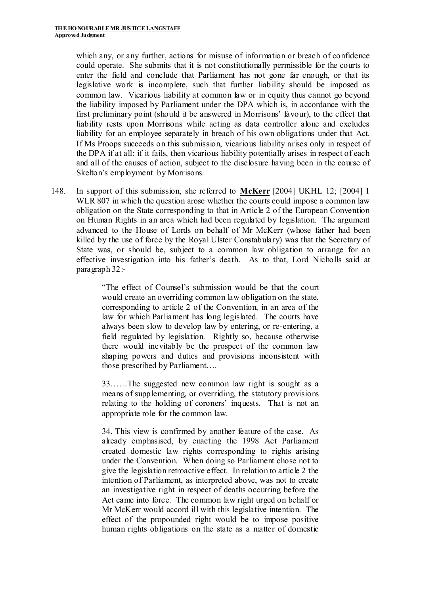which any, or any further, actions for misuse of information or breach of confidence could operate. She submits that it is not constitutionally permissible for the courts to enter the field and conclude that Parliament has not gone far enough, or that its legislative work is incomplete, such that further liability should be imposed as common law. Vicarious liability at common law or in equity thus cannot go beyond the liability imposed by Parliament under the DPA which is, in accordance with the first preliminary point (should it be answered in Morrisons' favour), to the effect that liability rests upon Morrisons while acting as data controller alone and excludes liability for an employee separately in breach of his own obligations under that Act. If Ms Proops succeeds on this submission, vicarious liability arises only in respect of the DPA if at all: if it fails, then vicarious liability potentially arises in respect of each and all of the causes of action, subject to the disclosure having been in the course of Skelton's employment by Morrisons.

148. In support of this submission, she referred to **McKerr** [2004] UKHL 12; [2004] 1 WLR 807 in which the question arose whether the courts could impose a common law obligation on the State corresponding to that in Article 2 of the European Convention on Human Rights in an area which had been regulated by legislation. The argument advanced to the House of Lords on behalf of Mr McKerr (whose father had been killed by the use of force by the Royal Ulster Constabulary) was that the Secretary of State was, or should be, subject to a common law obligation to arrange for an effective investigation into his father's death. As to that, Lord Nicholls said at paragraph 32:-

> "The effect of Counsel's submission would be that the court would create an overriding common law obligation on the state, corresponding to article 2 of the Convention, in an area of the law for which Parliament has long legislated. The courts have always been slow to develop law by entering, or re-entering, a field regulated by legislation. Rightly so, because otherwise there would inevitably be the prospect of the common law shaping powers and duties and provisions inconsistent with those prescribed by Parliament….

> 33……The suggested new common law right is sought as a means of supplementing, or overriding, the statutory provisions relating to the holding of coroners' inquests. That is not an appropriate role for the common law.

> 34. This view is confirmed by another feature of the case. As already emphasised, by enacting the 1998 Act Parliament created domestic law rights corresponding to rights arising under the Convention. When doing so Parliament chose not to give the legislation retroactive effect. In relation to article 2 the intention of Parliament, as interpreted above, was not to create an investigative right in respect of deaths occurring before the Act came into force. The common law right urged on behalf or Mr McKerr would accord ill with this legislative intention. The effect of the propounded right would be to impose positive human rights obligations on the state as a matter of domestic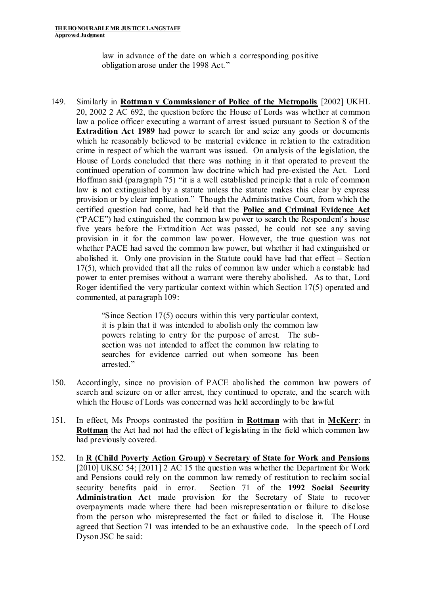law in advance of the date on which a corresponding positive obligation arose under the 1998 Act."

149. Similarly in **Rottman v Commissioner of Police of the Metropolis** [2002] UKHL 20, 2002 2 AC 692, the question before the House of Lords was whether at common law a police officer executing a warrant of arrest issued pursuant to Section 8 of the **Extradition Act 1989** had power to search for and seize any goods or documents which he reasonably believed to be material evidence in relation to the extradition crime in respect of which the warrant was issued. On analysis of the legislation, the House of Lords concluded that there was nothing in it that operated to prevent the continued operation of common law doctrine which had pre-existed the Act. Lord Hoffman said (paragraph 75) "it is a well established principle that a rule of common law is not extinguished by a statute unless the statute makes this clear by express provision or by clear implication." Though the Administrative Court, from which the certified question had come, had held that the **Police and Criminal Evidence Act** ("PACE") had extinguished the common law power to search the Respondent's house five years before the Extradition Act was passed, he could not see any saving provision in it for the common law power. However, the true question was not whether PACE had saved the common law power, but whether it had extinguished or abolished it. Only one provision in the Statute could have had that effect – Section 17(5), which provided that all the rules of common law under which a constable had power to enter premises without a warrant were thereby abolished. As to that, Lord Roger identified the very particular context within which Section 17(5) operated and commented, at paragraph 109:

> "Since Section 17(5) occurs within this very particular context, it is plain that it was intended to abolish only the common law powers relating to entry for the purpose of arrest. The subsection was not intended to affect the common law relating to searches for evidence carried out when someone has been arrested."

- 150. Accordingly, since no provision of PACE abolished the common law powers of search and seizure on or after arrest, they continued to operate, and the search with which the House of Lords was concerned was held accordingly to be lawful.
- 151. In effect, Ms Proops contrasted the position in **Rottman** with that in **McKerr**: in **Rottman** the Act had not had the effect of legislating in the field which common law had previously covered.
- 152. In **R (Child Poverty Action Group) v Secretary of State for Work and Pensions** [2010] UKSC 54; [2011] 2 AC 15 the question was whether the Department for Work and Pensions could rely on the common law remedy of restitution to reclaim social security benefits paid in error. Section 71 of the **1992 Social Security Administration Ac**t made provision for the Secretary of State to recover overpayments made where there had been misrepresentation or failure to disclose from the person who misrepresented the fact or failed to disclose it. The House agreed that Section 71 was intended to be an exhaustive code. In the speech of Lord Dyson JSC he said: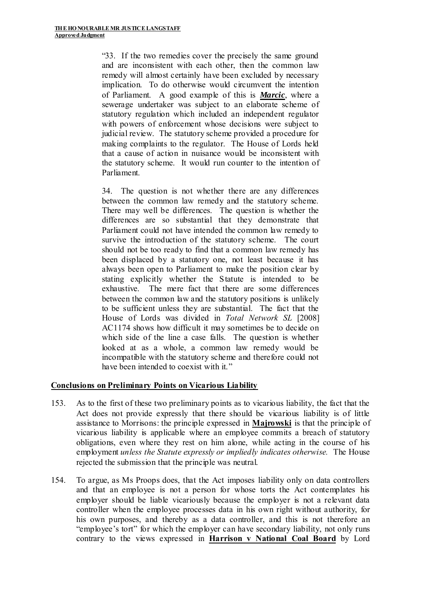"33. If the two remedies cover the precisely the same ground and are inconsistent with each other, then the common law remedy will almost certainly have been excluded by necessary implication. To do otherwise would circumvent the intention of Parliament. A good example of this is *Marcic*, where a sewerage undertaker was subject to an elaborate scheme of statutory regulation which included an independent regulator with powers of enforcement whose decisions were subject to judicial review. The statutory scheme provided a procedure for making complaints to the regulator. The House of Lords held that a cause of action in nuisance would be inconsistent with the statutory scheme. It would run counter to the intention of Parliament.

34. The question is not whether there are any differences between the common law remedy and the statutory scheme. There may well be differences. The question is whether the differences are so substantial that they demonstrate that Parliament could not have intended the common law remedy to survive the introduction of the statutory scheme. The court should not be too ready to find that a common law remedy has been displaced by a statutory one, not least because it has always been open to Parliament to make the position clear by stating explicitly whether the Statute is intended to be exhaustive. The mere fact that there are some differences between the common law and the statutory positions is unlikely to be sufficient unless they are substantial. The fact that the House of Lords was divided in *Total Network SL* [2008] AC1174 shows how difficult it may sometimes be to decide on which side of the line a case falls. The question is whether looked at as a whole, a common law remedy would be incompatible with the statutory scheme and therefore could not have been intended to coexist with it."

# **Conclusions on Preliminary Points on Vicarious Liability**

- 153. As to the first of these two preliminary points as to vicarious liability, the fact that the Act does not provide expressly that there should be vicarious liability is of little assistance to Morrisons: the principle expressed in **Majrowski** is that the principle of vicarious liability is applicable where an employee commits a breach of statutory obligations, even where they rest on him alone, while acting in the course of his employment *unless the Statute expressly or impliedly indicates otherwise.* The House rejected the submission that the principle was neutral.
- 154. To argue, as Ms Proops does, that the Act imposes liability only on data controllers and that an employee is not a person for whose torts the Act contemplates his employer should be liable vicariously because the employer is not a relevant data controller when the employee processes data in his own right without authority, for his own purposes, and thereby as a data controller, and this is not therefore an "employee's tort" for which the employer can have secondary liability, not only runs contrary to the views expressed in **Harrison v National Coal Board** by Lord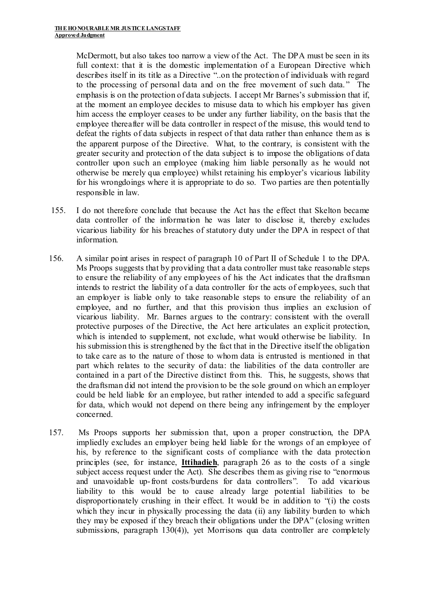McDermott, but also takes too narrow a view of the Act. The DPA must be seen in its full context: that it is the domestic implementation of a European Directive which describes itself in its title as a Directive "..on the protection of individuals with regard to the processing of personal data and on the free movement of such data. " The emphasis is on the protection of data subjects. I accept Mr Barnes's submission that if, at the moment an employee decides to misuse data to which his employer has given him access the employer ceases to be under any further liability, on the basis that the employee thereafter will be data controller in respect of the misuse, this would tend to defeat the rights of data subjects in respect of that data rather than enhance them as is the apparent purpose of the Directive. What, to the contrary, is consistent with the greater security and protection of the data subject is to impose the obligations of data controller upon such an employee (making him liable personally as he would not otherwise be merely qua employee) whilst retaining his employer's vicarious liability for his wrongdoings where it is appropriate to do so. Two parties are then potentially responsible in law.

- 155. I do not therefore conclude that because the Act has the effect that Skelton became data controller of the information he was later to disclose it, thereby excludes vicarious liability for his breaches of statutory duty under the DPA in respect of that information.
- 156. A similar point arises in respect of paragraph 10 of Part II of Schedule 1 to the DPA. Ms Proops suggests that by providing that a data controller must take reasonable steps to ensure the reliability of any employees of his the Act indicates that the draftsman intends to restrict the liability of a data controller for the acts of employees, such that an employer is liable only to take reasonable steps to ensure the reliability of an employee, and no further, and that this provision thus implies an exclusion of vicarious liability. Mr. Barnes argues to the contrary: consistent with the overall protective purposes of the Directive, the Act here articulates an explicit protection, which is intended to supplement, not exclude, what would otherwise be liability. In his submission this is strengthened by the fact that in the Directive itself the obligation to take care as to the nature of those to whom data is entrusted is mentioned in that part which relates to the security of data: the liabilities of the data controller are contained in a part of the Directive distinct from this. This, he suggests, shows that the draftsman did not intend the provision to be the sole ground on which an employer could be held liable for an employee, but rather intended to add a specific safeguard for data, which would not depend on there being any infringement by the employer concerned.
- 157. Ms Proops supports her submission that, upon a proper construction, the DPA impliedly excludes an employer being held liable for the wrongs of an employee of his, by reference to the significant costs of compliance with the data protection principles (see, for instance, **Ittihadieh**, paragraph 26 as to the costs of a single subject access request under the Act). She describes them as giving rise to "enormous and unavoidable up-front costs/burdens for data controllers". To add vicarious liability to this would be to cause already large potential liabilities to be disproportionately crushing in their effect. It would be in addition to "(i) the costs which they incur in physically processing the data (ii) any liability burden to which they may be exposed if they breach their obligations under the DPA" (closing written submissions, paragraph 130(4)), yet Morrisons qua data controller are completely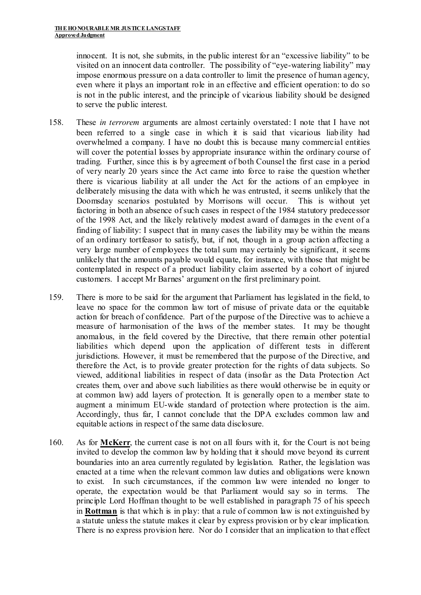innocent. It is not, she submits, in the public interest for an "excessive liability" to be visited on an innocent data controller. The possibility of "eye-watering liability" may impose enormous pressure on a data controller to limit the presence of human agency, even where it plays an important role in an effective and efficient operation: to do so is not in the public interest, and the principle of vicarious liability should be designed to serve the public interest.

- 158. These *in terrorem* arguments are almost certainly overstated: I note that I have not been referred to a single case in which it is said that vicarious liab ility had overwhelmed a company. I have no doubt this is because many commercial entities will cover the potential losses by appropriate insurance within the ordinary course of trading. Further, since this is by agreement of both Counsel the first case in a period of very nearly 20 years since the Act came into force to raise the question whether there is vicarious liability at all under the Act for the actions of an employee in deliberately misusing the data with which he was entrusted, it seems unlikely that the Doomsday scenarios postulated by Morrisons will occur. This is without yet factoring in both an absence of such cases in respect of the 1984 statutory predecessor of the 1998 Act, and the likely relatively modest award of damages in the event of a finding of liability: I suspect that in many cases the liability may be within the means of an ordinary tortfeasor to satisfy, but, if not, though in a group action affecting a very large number of employees the total sum may certainly be significant, it seems unlikely that the amounts payable would equate, for instance, with those that might be contemplated in respect of a product liability claim asserted by a cohort of injured customers. I accept Mr Barnes' argument on the first preliminary point.
- 159. There is more to be said for the argument that Parliament has legislated in the field, to leave no space for the common law tort of misuse of private data or the equitable action for breach of confidence. Part of the purpose of the Directive was to achieve a measure of harmonisation of the laws of the member states. It may be thought anomalous, in the field covered by the Directive, that there remain other potential liabilities which depend upon the application of different tests in different jurisdictions. However, it must be remembered that the purpose of the Directive, and therefore the Act, is to provide greater protection for the rights of data subjects. So viewed, additional liabilities in respect of data (insofar as the Data Protection Act creates them, over and above such liabilities as there would otherwise be in equity or at common law) add layers of protection. It is generally open to a member state to augment a minimum EU-wide standard of protection where protection is the aim. Accordingly, thus far, I cannot conclude that the DPA excludes common law and equitable actions in respect of the same data disclosure.
- 160. As for **McKerr**, the current case is not on all fours with it, for the Court is not being invited to develop the common law by holding that it should move beyond its current boundaries into an area currently regulated by legislation. Rather, the legislation was enacted at a time when the relevant common law duties and obligations were known to exist. In such circumstances, if the common law were intended no longer to operate, the expectation would be that Parliament would say so in terms. The principle Lord Hoffman thought to be well established in paragraph 75 of his speech in **Rottman** is that which is in play: that a rule of common law is not extinguished by a statute unless the statute makes it clear by express provision or by clear implication. There is no express provision here. Nor do I consider that an implication to that effect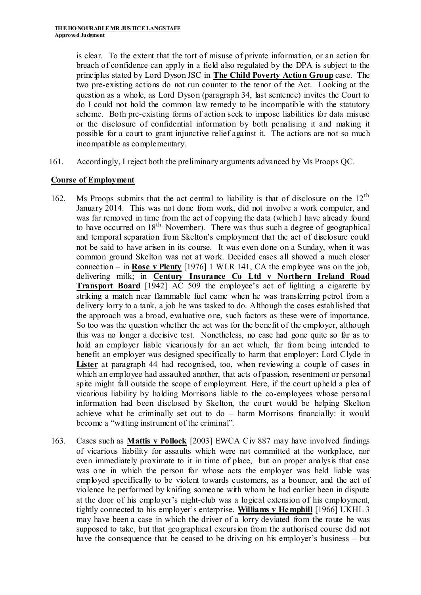is clear. To the extent that the tort of misuse of private information, or an action for breach of confidence can apply in a field also regulated by the DPA is subject to the principles stated by Lord Dyson JSC in **The Child Poverty Action Group** case. The two pre-existing actions do not run counter to the tenor of the Act. Looking at the question as a whole, as Lord Dyson (paragraph 34, last sentence) invites the Court to do I could not hold the common law remedy to be incompatible with the statutory scheme. Both pre-existing forms of action seek to impose liabilities for data misuse or the disclosure of confidential information by both penalising it and making it possible for a court to grant injunctive relief against it. The actions are not so much incompatible as complementary.

161. Accordingly, I reject both the preliminary arguments advanced by Ms Proops QC.

# **Course of Employment**

- 162. Ms Proops submits that the act central to liability is that of disclosure on the  $12^{\text{th}}$ . January 2014. This was not done from work, did not involve a work computer, and was far removed in time from the act of copying the data (which I have already found to have occurred on  $18<sup>th</sup>$ . November). There was thus such a degree of geographical and temporal separation from Skelton's employment that the act of disclosure could not be said to have arisen in its course. It was even done on a Sunday, when it was common ground Skelton was not at work. Decided cases all showed a much closer connection – in **Rose v Plenty** [1976] 1 WLR 141, CA the employee was on the job, delivering milk; in **Century Insurance Co Ltd v Northern Ireland Road Transport Board** [1942] AC 509 the employee's act of lighting a cigarette by striking a match near flammable fuel came when he was transferring petrol from a delivery lorry to a tank, a job he was tasked to do. Although the cases established that the approach was a broad, evaluative one, such factors as these were of importance. So too was the question whether the act was for the benefit of the employer, although this was no longer a decisive test. Nonetheless, no case had gone quite so far as to hold an employer liable vicariously for an act which, far from being intended to benefit an employer was designed specifically to harm that employer: Lord Clyde in Lister at paragraph 44 had recognised, too, when reviewing a couple of cases in which an employee had assaulted another, that acts of passion, resentment or personal spite might fall outside the scope of employment. Here, if the court upheld a plea of vicarious liability by holding Morrisons liable to the co-employees whose personal information had been disclosed by Skelton, the court would be helping Skelton achieve what he criminally set out to do – harm Morrisons financially: it would become a "witting instrument of the criminal".
- 163. Cases such as **Mattis v Pollock** [2003] EWCA Civ 887 may have involved findings of vicarious liability for assaults which were not committed at the workplace, nor even immediately proximate to it in time of place, but on proper analysis that case was one in which the person for whose acts the employer was held liable was employed specifically to be violent towards customers, as a bouncer, and the act of violence he performed by knifing someone with whom he had earlier been in dispute at the door of his employer's night-club was a logical extension of his employment, tightly connected to his employer's enterprise. **Williams v Hemphill** [1966] UKHL 3 may have been a case in which the driver of a lorry deviated from the route he was supposed to take, but that geographical excursion from the authorised course did not have the consequence that he ceased to be driving on his employer's business – but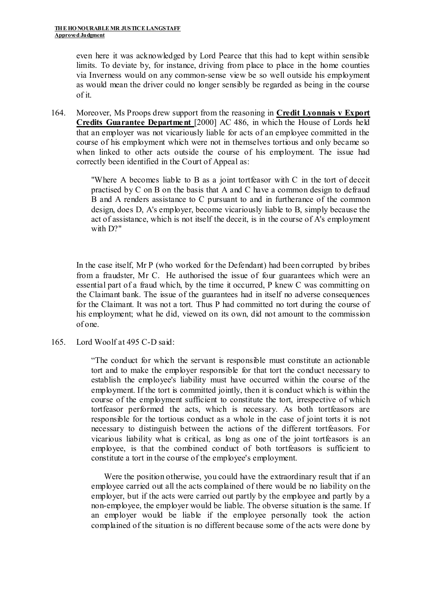even here it was acknowledged by Lord Pearce that this had to kept within sensible limits. To deviate by, for instance, driving from place to place in the home counties via Inverness would on any common-sense view be so well outside his employment as would mean the driver could no longer sensibly be regarded as being in the course of it.

164. Moreover, Ms Proops drew support from the reasoning in **Credit Lyonnais v Export Credits Guarantee Department** [2000] AC 486, in which the House of Lords held that an employer was not vicariously liable for acts of an employee committed in the course of his employment which were not in themselves tortious and only became so when linked to other acts outside the course of his employment. The issue had correctly been identified in the Court of Appeal as:

> "Where A becomes liable to B as a joint tortfeasor with C in the tort of deceit practised by C on B on the basis that A and C have a common design to defraud B and A renders assistance to C pursuant to and in furtherance of the common design, does D, A's employer, become vicariously liable to B, simply because the act of assistance, which is not itself the deceit, is in the course of A's employment with D?"

 In the case itself, Mr P (who worked for the Defendant) had been corrupted by bribes from a fraudster, Mr C. He authorised the issue of four guarantees which were an essential part of a fraud which, by the time it occurred, P knew C was committing on the Claimant bank. The issue of the guarantees had in itself no adverse consequences for the Claimant. It was not a tort. Thus P had committed no tort during the course of his employment; what he did, viewed on its own, did not amount to the commission of one.

165. Lord Woolf at 495 C-D said:

"The conduct for which the servant is responsible must constitute an actionable tort and to make the employer responsible for that tort the conduct necessary to establish the employee's liability must have occurred within the course of the employment. If the tort is committed jointly, then it is conduct which is within the course of the employment sufficient to constitute the tort, irrespective of which tortfeasor performed the acts, which is necessary. As both tortfeasors are responsible for the tortious conduct as a whole in the case of joint torts it is not necessary to distinguish between the actions of the different tortfeasors. For vicarious liability what is critical, as long as one of the joint tortfeasors is an employee, is that the combined conduct of both tortfeasors is sufficient to constitute a tort in the course of the employee's employment.

 Were the position otherwise, you could have the extraordinary result that if an employee carried out all the acts complained of there would be no liability on the employer, but if the acts were carried out partly by the employee and partly by a non-employee, the employer would be liable. The obverse situation is the same. If an employer would be liable if the employee personally took the action complained of the situation is no different because some of the acts were done by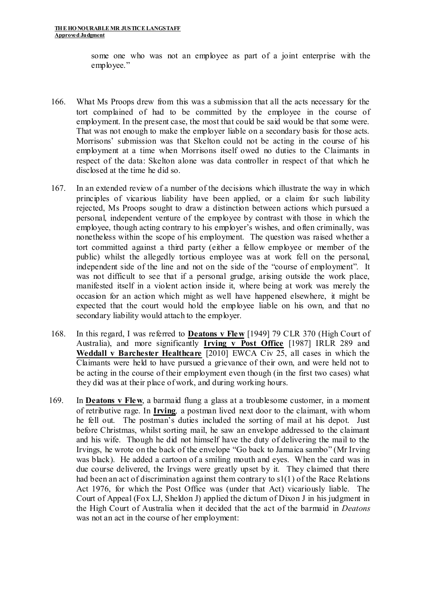some one who was not an employee as part of a joint enterprise with the employee."

- 166. What Ms Proops drew from this was a submission that all the acts necessary for the tort complained of had to be committed by the employee in the course of employment. In the present case, the most that could be said would be that some were. That was not enough to make the employer liable on a secondary basis for those acts. Morrisons' submission was that Skelton could not be acting in the course of his employment at a time when Morrisons itself owed no duties to the Claimants in respect of the data: Skelton alone was data controller in respect of that which he disclosed at the time he did so.
- 167. In an extended review of a number of the decisions which illustrate the way in which principles of vicarious liability have been applied, or a claim for such liability rejected, Ms Proops sought to draw a distinction between actions which pursued a personal, independent venture of the employee by contrast with those in which the employee, though acting contrary to his employer's wishes, and often criminally, was nonetheless within the scope of his employment. The question was raised whether a tort committed against a third party (either a fellow employee or member of the public) whilst the allegedly tortious employee was at work fell on the personal, independent side of the line and not on the side of the "course of employment". It was not difficult to see that if a personal grudge, arising outside the work place, manifested itself in a violent action inside it, where being at work was merely the occasion for an action which might as well have happened elsewhere, it might be expected that the court would hold the employee liable on his own, and that no secondary liability would attach to the employer.
- 168. In this regard, I was referred to **Deatons v Flew** [1949] 79 CLR 370 (High Court of Australia), and more significantly **Irving v Post Office** [1987] IRLR 289 and **Weddall v Barchester Healthcare** [2010] EWCA Civ 25, all cases in which the Claimants were held to have pursued a grievance of their own, and were held not to be acting in the course of their employment even though (in the first two cases) what they did was at their place of work, and during working hours.
- 169. In **Deatons v Flew**, a barmaid flung a glass at a troublesome customer, in a moment of retributive rage. In **Irving***,* a postman lived next door to the claimant, with whom he fell out. The postman's duties included the sorting of mail at his depot. Just before Christmas, whilst sorting mail, he saw an envelope addressed to the claimant and his wife. Though he did not himself have the duty of delivering the mail to the Irvings, he wrote on the back of the envelope "Go back to Jamaica sambo" (Mr Irving was black). He added a cartoon of a smiling mouth and eyes. When the card was in due course delivered, the Irvings were greatly upset by it. They claimed that there had been an act of discrimination against them contrary to s1(1) of the Race Relations Act 1976, for which the Post Office was (under that Act) vicariously liable. The Court of Appeal (Fox LJ, Sheldon J) applied the dictum of Dixon J in his judgment in the High Court of Australia when it decided that the act of the barmaid in *Deatons* was not an act in the course of her employment: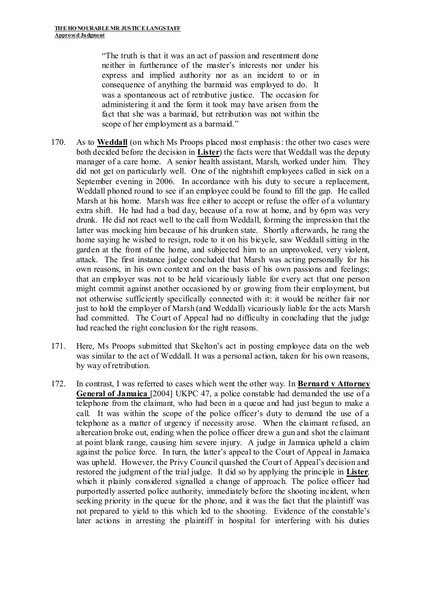"The truth is that it was an act of passion and resentment done neither in furtherance of the master's interests nor under his express and implied authority nor as an incident to or in consequence of anything the barmaid was employed to do. It was a spontaneous act of retributive justice. The occasion for administering it and the form it took may have arisen from the fact that she was a barmaid, but retribution was not within the scope of her employment as a barmaid."

- 170. As to **Weddall** (on which Ms Proops placed most emphasis: the other two cases were both decided before the decision in **Lister**) the facts were that Weddall was the deputy manager of a care home. A senior health assistant, Marsh, worked under him. They did not get on particularly well. One of the nightshift employees called in sick on a September evening in 2006. In accordance with his duty to secure a replacement, Weddall phoned round to see if an employee could be found to fill the gap. He called Marsh at his home. Marsh was free either to accept or refuse the offer of a voluntary extra shift. He had had a bad day, because of a row at home, and by 6pm was very drunk. He did not react well to the call from Weddall, forming the impression that the latter was mocking him because of his drunken state. Shortly afterwards, he rang the home saying he wished to resign, rode to it on his bicycle, saw Weddall sitting in the garden at the front of the home, and subjected him to an unprovoked, very violent, attack. The first instance judge concluded that Marsh was acting personally for his own reasons, in his own context and on the basis of his own passions and feelings; that an employer was not to be held vicariously liable for every act that one person might commit against another occasioned by or growing from their employment, but not otherwise sufficiently specifically connected with it: it would be neither fair nor just to hold the employer of Marsh (and Weddall) vicariously liable for the acts Marsh had committed. The Court of Appeal had no difficulty in concluding that the judge had reached the right conclusion for the right reasons.
- 171. Here, Ms Proops submitted that Skelton's act in posting employee data on the web was similar to the act of Weddall. It was a personal action, taken for his own reasons, by way of retribution.
- 172. In contrast, I was referred to cases which went the other way. In **Bernard v Attorney General of Jamaica** [2004] UKPC 47, a police constable had demanded the use of a telephone from the claimant, who had been in a queue and had just begun to make a call. It was within the scope of the police officer's duty to demand the use of a telephone as a matter of urgency if necessity arose. When the claimant refused, an altercation broke out, ending when the police officer drew a gun and shot the claimant at point blank range, causing him severe injury. A judge in Jamaica upheld a claim against the police force. In turn, the latter's appeal to the Court of Appeal in Jamaica was upheld. However, the Privy Council quashed the Court of Appeal's decision and restored the judgment of the trial judge. It did so by applying the principle in **Lister***,*  which it plainly considered signalled a change of approach*.* The police officer had purportedly asserted police authority, immediately before the shooting incident, when seeking priority in the queue for the phone, and it was the fact that the plaintiff was not prepared to yield to this which led to the shooting. Evidence of the constable's later actions in arresting the plaintiff in hospital for interfering with his duties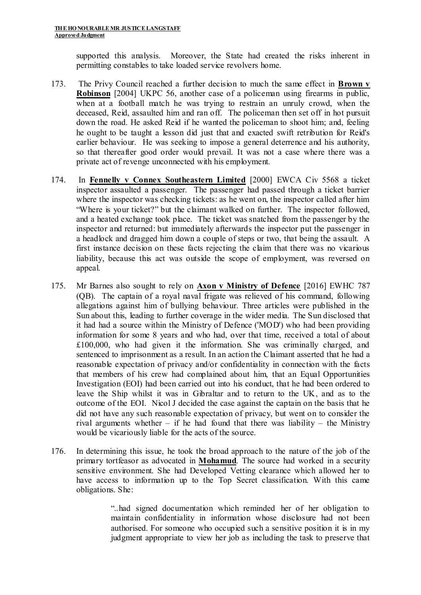supported this analysis. Moreover, the State had created the risks inherent in permitting constables to take loaded service revolvers home.

- 173. The Privy Council reached a further decision to much the same effect in **Brown v Robinson** [2004] UKPC 56, another case of a policeman using firearms in public, when at a football match he was trying to restrain an unruly crowd, when the deceased, Reid, assaulted him and ran off. The policeman then set off in hot pursuit down the road. He asked Reid if he wanted the policeman to shoot him; and, feeling he ought to be taught a lesson did just that and exacted swift retribution for Reid's earlier behaviour. He was seeking to impose a general deterrence and his authority, so that thereafter good order would prevail. It was not a case where there was a private act of revenge unconnected with his employment.
- 174. In **Fennelly v Connex Southeastern Limited** [2000] EWCA Civ 5568 a ticket inspector assaulted a passenger. The passenger had passed through a ticket barrier where the inspector was checking tickets: as he went on, the inspector called after him "Where is your ticket?" but the claimant walked on further. The inspector followed, and a heated exchange took place. The ticket was snatched from the passenger by the inspector and returned: but immediately afterwards the inspector put the passenger in a headlock and dragged him down a couple of steps or two, that being the assault. A first instance decision on these facts rejecting the claim that there was no vicarious liability, because this act was outside the scope of employment, was reversed on appeal.
- 175. Mr Barnes also sought to rely on **Axon v Ministry of Defence** [2016] EWHC 787 (QB). The captain of a royal naval frigate was relieved of his command, following allegations against him of bullying behaviour. Three articles were published in the Sun about this, leading to further coverage in the wider media. The Sun disclosed that it had had a source within the Ministry of Defence ('MOD') who had been providing information for some 8 years and who had, over that time, received a total of about £100,000, who had given it the information. She was criminally charged, and sentenced to imprisonment as a result. In an action the Claimant asserted that he had a reasonable expectation of privacy and/or confidentiality in connection with the facts that members of his crew had complained about him, that an Equal Opportunities Investigation (EOI) had been carried out into his conduct, that he had been ordered to leave the Ship whilst it was in Gibraltar and to return to the UK, and as to the outcome of the EOI. Nicol J decided the case against the captain on the basis that he did not have any such reasonable expectation of privacy, but went on to consider the rival arguments whether – if he had found that there was liability – the Ministry would be vicariously liable for the acts of the source.
- 176. In determining this issue, he took the broad approach to the nature of the job of the primary tortfeasor as advocated in **Mohamud**. The source had worked in a security sensitive environment. She had Developed Vetting clearance which allowed her to have access to information up to the Top Secret classification. With this came obligations. She:

"..had signed documentation which reminded her of her obligation to maintain confidentiality in information whose disclosure had not been authorised. For someone who occupied such a sensitive position it is in my judgment appropriate to view her job as including the task to preserve that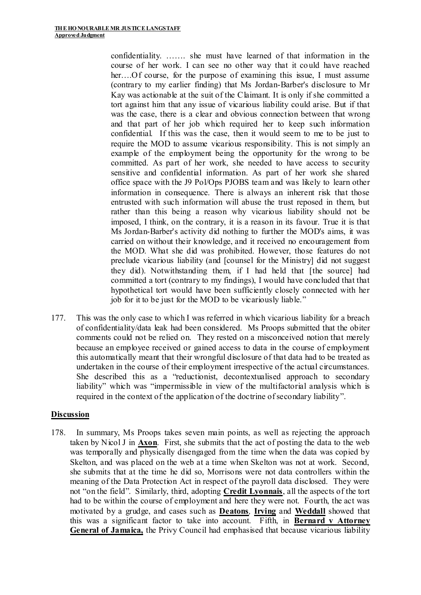confidentiality. ……. she must have learned of that information in the course of her work. I can see no other way that it could have reached her....Of course, for the purpose of examining this issue, I must assume (contrary to my earlier finding) that Ms Jordan-Barber's disclosure to Mr Kay was actionable at the suit of the Claimant. It is only if she committed a tort against him that any issue of vicarious liability could arise. But if that was the case, there is a clear and obvious connection between that wrong and that part of her job which required her to keep such information confidential. If this was the case, then it would seem to me to be just to require the MOD to assume vicarious responsibility. This is not simply an example of the employment being the opportunity for the wrong to be committed. As part of her work, she needed to have access to security sensitive and confidential information. As part of her work she shared office space with the J9 Pol/Ops PJOBS team and was likely to learn other information in consequence. There is always an inherent risk that those entrusted with such information will abuse the trust reposed in them, but rather than this being a reason why vicarious liability should not be imposed, I think, on the contrary, it is a reason in its favour. True it is that Ms Jordan-Barber's activity did nothing to further the MOD's aims, it was carried on without their knowledge, and it received no encouragement from the MOD. What she did was prohibited. However, those features do not preclude vicarious liability (and [counsel for the Ministry] did not suggest they did). Notwithstanding them, if I had held that [the source] had committed a tort (contrary to my findings), I would have concluded that that hypothetical tort would have been sufficiently closely connected with her job for it to be just for the MOD to be vicariously liable."

177. This was the only case to which I was referred in which vicarious liability for a breach of confidentiality/data leak had been considered. Ms Proops submitted that the obiter comments could not be relied on. They rested on a misconceived notion that merely because an employee received or gained access to data in the course of employment this automatically meant that their wrongful disclosure of that data had to be treated as undertaken in the course of their employment irrespective of the actual circumstances. She described this as a "reductionist, decontextualised approach to secondary liability" which was "impermissible in view of the multifactorial analysis which is required in the context of the application of the doctrine of secondary liability".

# **Discussion**

178. In summary, Ms Proops takes seven main points, as well as rejecting the approach taken by Nicol J in **Axon**. First, she submits that the act of posting the data to the web was temporally and physically disengaged from the time when the data was copied by Skelton, and was placed on the web at a time when Skelton was not at work. Second, she submits that at the time he did so, Morrisons were not data controllers within the meaning of the Data Protection Act in respect of the payroll data disclosed. They were not "on the field". Similarly, third, adopting **Credit Lyonnais**, all the aspects of the tort had to be within the course of employment and here they were not. Fourth, the act was motivated by a grudge, and cases such as **Deatons***,* **Irving** and **Weddall** showed that this was a significant factor to take into account. Fifth, in **Bernard v Attorney General of Jamaica,** the Privy Council had emphasised that because vicarious liability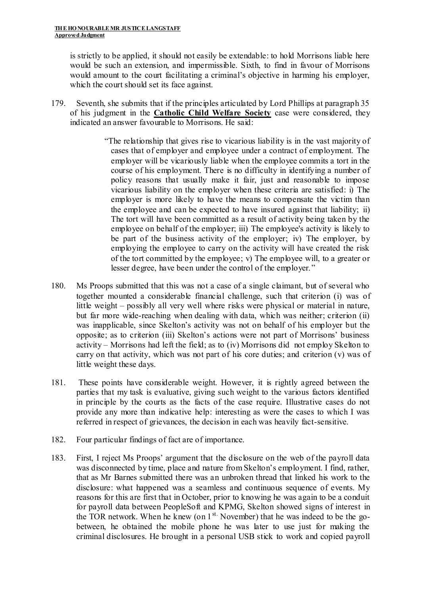is strictly to be applied, it should not easily be extendable: to hold Morrisons liable here would be such an extension, and impermissible. Sixth, to find in favour of Morrisons would amount to the court facilitating a criminal's objective in harming his employer, which the court should set its face against.

- 179. Seventh, she submits that if the principles articulated by Lord Phillips at paragraph 35 of his judgment in the **Catholic Child Welfare Society** case were considered, they indicated an answer favourable to Morrisons. He said:
	- "The relationship that gives rise to vicarious liability is in the vast majority of cases that of employer and employee under a contract of employment. The employer will be vicariously liable when the employee commits a tort in the course of his employment. There is no difficulty in identifying a number of policy reasons that usually make it fair, just and reasonable to impose vicarious liability on the employer when these criteria are satisfied: i) The employer is more likely to have the means to compensate the victim than the employee and can be expected to have insured against that liability; ii) The tort will have been committed as a result of activity being taken by the employee on behalf of the employer; iii) The employee's activity is likely to be part of the business activity of the employer; iv) The employer, by employing the employee to carry on the activity will have created the risk of the tort committed by the employee; v) The employee will, to a greater or lesser degree, have been under the control of the employer."
- 180. Ms Proops submitted that this was not a case of a single claimant, but of several who together mounted a considerable financial challenge, such that criterion (i) was of little weight – possibly all very well where risks were physical or material in nature, but far more wide-reaching when dealing with data, which was neither; criterion (ii) was inapplicable, since Skelton's activity was not on behalf of his employer but the opposite; as to criterion (iii) Skelton's actions were not part of Morrisons' business activity – Morrisons had left the field; as to (iv) Morrisons did not employ Skelton to carry on that activity, which was not part of his core duties; and criterion (v) was of little weight these days.
- 181. These points have considerable weight. However, it is rightly agreed between the parties that my task is evaluative, giving such weight to the various factors identified in principle by the courts as the facts of the case require. Illustrative cases do not provide any more than indicative help: interesting as were the cases to which I was referred in respect of grievances, the decision in each was heavily fact-sensitive.
- 182. Four particular findings of fact are of importance.
- 183. First, I reject Ms Proops' argument that the disclosure on the web of the payroll data was disconnected by time, place and nature from Skelton's employment. I find, rather, that as Mr Barnes submitted there was an unbroken thread that linked his work to the disclosure: what happened was a seamless and continuous sequence of events. My reasons for this are first that in October, prior to knowing he was again to be a conduit for payroll data between PeopleSoft and KPMG, Skelton showed signs of interest in the TOR network. When he knew (on  $1^{st}$  November) that he was indeed to be the gobetween, he obtained the mobile phone he was later to use just for making the criminal disclosures. He brought in a personal USB stick to work and copied payroll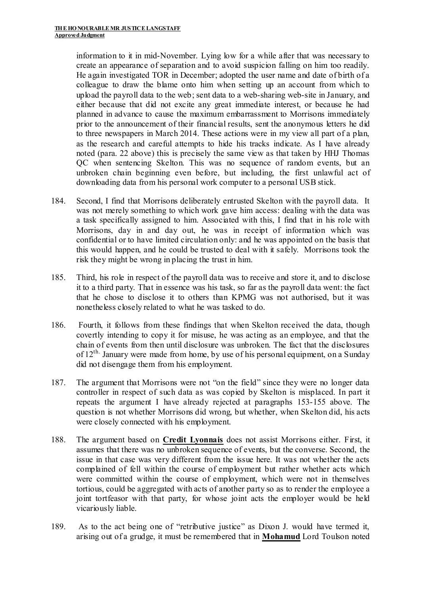information to it in mid-November. Lying low for a while after that was necessary to create an appearance of separation and to avoid suspicion falling on him too readily. He again investigated TOR in December; adopted the user name and date of birth of a colleague to draw the blame onto him when setting up an account from which to upload the payroll data to the web; sent data to a web-sharing web-site in January, and either because that did not excite any great immediate interest, or because he had planned in advance to cause the maximum embarrassment to Morrisons immediately prior to the announcement of their financial results, sent the anonymous letters he did to three newspapers in March 2014. These actions were in my view all part of a plan, as the research and careful attempts to hide his tracks indicate. As I have already noted (para. 22 above) this is precisely the same view as that taken by HHJ Thomas QC when sentencing Skelton. This was no sequence of random events, but an unbroken chain beginning even before, but including, the first unlawful act of downloading data from his personal work computer to a personal USB stick.

- 184. Second, I find that Morrisons deliberately entrusted Skelton with the payroll data. It was not merely something to which work gave him access: dealing with the data was a task specifically assigned to him. Associated with this, I find that in his role with Morrisons, day in and day out, he was in receipt of information which was confidential or to have limited circulation only: and he was appointed on the basis that this would happen, and he could be trusted to deal with it safely. Morrisons took the risk they might be wrong in placing the trust in him.
- 185. Third, his role in respect of the payroll data was to receive and store it, and to disclose it to a third party. That in essence was his task, so far as the payroll data went: the fact that he chose to disclose it to others than KPMG was not authorised, but it was nonetheless closely related to what he was tasked to do.
- 186. Fourth, it follows from these findings that when Skelton received the data, though covertly intending to copy it for misuse, he was acting as an employee, and that the chain of events from then until disclosure was unbroken. The fact that the disclosures of 12<sup>th.</sup> January were made from home, by use of his personal equipment, on a Sunday did not disengage them from his employment.
- 187. The argument that Morrisons were not "on the field" since they were no longer data controller in respect of such data as was copied by Skelton is misplaced. In part it repeats the argument I have already rejected at paragraphs 153-155 above. The question is not whether Morrisons did wrong, but whether, when Skelton did, his acts were closely connected with his employment.
- 188. The argument based on **Credit Lyonnais** does not assist Morrisons either. First, it assumes that there was no unbroken sequence of events, but the converse. Second, the issue in that case was very different from the issue here. It was not whether the acts complained of fell within the course of employment but rather whether acts which were committed within the course of employment, which were not in themselves tortious, could be aggregated with acts of another party so as to render the employee a joint tortfeasor with that party, for whose joint acts the employer would be held vicariously liable.
- 189. As to the act being one of "retributive justice" as Dixon J. would have termed it, arising out of a grudge, it must be remembered that in **Mohamud** Lord Toulson noted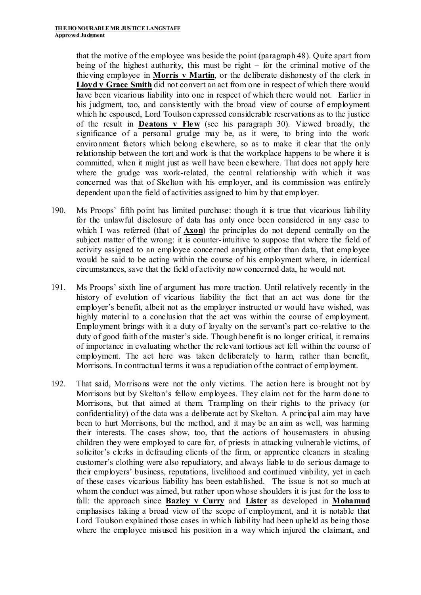that the motive of the employee was beside the point (paragraph 48). Quite apart from being of the highest authority, this must be right – for the criminal motive of the thieving employee in **Morris v Martin**, or the deliberate dishonesty of the clerk in **Lloyd v Grace Smith** did not convert an act from one in respect of which there would have been vicarious liability into one in respect of which there would not. Earlier in his judgment, too, and consistently with the broad view of course of employment which he espoused, Lord Toulson expressed considerable reservations as to the justice of the result in **Deatons v Flew** (see his paragraph 30). Viewed broadly, the significance of a personal grudge may be, as it were, to bring into the work environment factors which belong elsewhere, so as to make it clear that the only relationship between the tort and work is that the workplace happens to be where it is committed, when it might just as well have been elsewhere. That does not apply here where the grudge was work-related, the central relationship with which it was concerned was that of Skelton with his employer, and its commission was entirely dependent upon the field of activities assigned to him by that employer.

- 190. Ms Proops' fifth point has limited purchase: though it is true that vicarious liability for the unlawful disclosure of data has only once been considered in any case to which I was referred (that of **Axon**) the principles do not depend centrally on the subject matter of the wrong: it is counter-intuitive to suppose that where the field of activity assigned to an employee concerned anything other than data, that employee would be said to be acting within the course of his employment where, in identical circumstances, save that the field of activity now concerned data, he would not.
- 191. Ms Proops' sixth line of argument has more traction. Until relatively recently in the history of evolution of vicarious liability the fact that an act was done for the employer's benefit, albeit not as the employer instructed or would have wished, was highly material to a conclusion that the act was within the course of employment. Employment brings with it a duty of loyalty on the servant's part co-relative to the duty of good faith of the master's side. Though benefit is no longer critical, it remains of importance in evaluating whether the relevant tortious act fell within the course of employment. The act here was taken deliberately to harm, rather than benefit, Morrisons. In contractual terms it was a repudiation of the contract of employment.
- 192. That said, Morrisons were not the only victims. The action here is brought not by Morrisons but by Skelton's fellow employees. They claim not for the harm done to Morrisons, but that aimed at them. Trampling on their rights to the privacy (or confidentiality) of the data was a deliberate act by Skelton. A principal aim may have been to hurt Morrisons, but the method, and it may be an aim as well, was harming their interests. The cases show, too, that the actions of housemasters in abusing children they were employed to care for, of priests in attacking vulnerable victims, of solicitor's clerks in defrauding clients of the firm, or apprentice cleaners in stealing customer's clothing were also repudiatory, and always liable to do serious damage to their employers' business, reputations, livelihood and continued viability, yet in each of these cases vicarious liability has been established. The issue is not so much at whom the conduct was aimed, but rather upon whose shoulders it is just for the loss to fall: the approach since **Bazley v Curry** and **Lister** as developed in **Mohamud** emphasises taking a broad view of the scope of employment, and it is notable that Lord Toulson explained those cases in which liability had been upheld as being those where the employee misused his position in a way which injured the claimant, and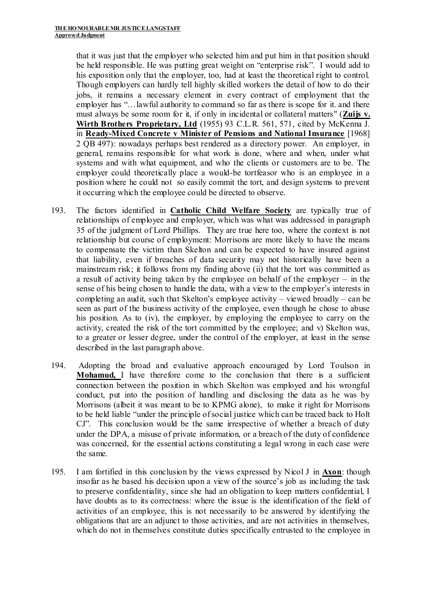that it was just that the employer who selected him and put him in that position should be held responsible. He was putting great weight on "enterprise risk". I would add to his exposition only that the employer, too, had at least the theoretical right to control. Though employers can hardly tell highly skilled workers the detail of how to do their jobs, it remains a necessary element in every contract of employment that the employer has "…lawful authority to command so far as there is scope for it. and there must always be some room for it, if only in incidental or collateral matters" (**Zuijs v. Wirth Brothers Proprietary, Ltd** (1955) 93 C.L.R. 561, 571, cited by McKenna J. in **Ready-Mixed Concrete v Minister of Pensions and National Insurance** [1968] 2 QB 497): nowadays perhaps best rendered as a directory power. An employer, in general, remains responsible for what work is done, where and when, under what systems and with what equipment, and who the clients or customers are to be. The employer could theoretically place a would-be tortfeasor who is an employee in a position where he could not so easily commit the tort, and design systems to prevent it occurring which the employee could be directed to observe.

- 193. The factors identified in **Catholic Child Welfare Society** are typically true of relationships of employee and employer, which was what was addressed in paragraph 35 of the judgment of Lord Phillips. They are true here too, where the context is not relationship but course of employment: Morrisons are more likely to have the means to compensate the victim than Skelton and can be expected to have insured against that liability, even if breaches of data security may not historically have been a mainstream risk; it follows from my finding above (ii) that the tort was committed as a result of activity being taken by the employee on behalf of the employer – in the sense of his being chosen to handle the data, with a view to the employer's interests in completing an audit, such that Skelton's employee activity – viewed broadly – can be seen as part of the business activity of the employee, even though he chose to abuse his position. As to (iv), the employer, by employing the employee to carry on the activity, created the risk of the tort committed by the employee; and v) Skelton was, to a greater or lesser degree, under the control of the employer, at least in the sense described in the last paragraph above.
- 194. Adopting the broad and evaluative approach encouraged by Lord Toulson in **Mohamud,** I have therefore come to the conclusion that there is a sufficient connection between the position in which Skelton was employed and his wrongful conduct, put into the position of handling and disclosing the data as he was by Morrisons (albeit it was meant to be to KPMG alone), to make it right for Morrisons to be held liable "under the principle of social justice which can be traced back to Holt CJ". This conclusion would be the same irrespective of whether a breach of duty under the DPA, a misuse of private information, or a breach of the duty of confidence was concerned, for the essential actions constituting a legal wrong in each case were the same.
- 195. I am fortified in this conclusion by the views expressed by Nicol J in **Axon**: though insofar as he based his decision upon a view of the source's job as including the task to preserve confidentiality, since she had an obligation to keep matters confidential, I have doubts as to its correctness: where the issue is the identification of the field of activities of an employee, this is not necessarily to be answered by identifying the obligations that are an adjunct to those activities, and are not activities in themselves, which do not in themselves constitute duties specifically entrusted to the employee in